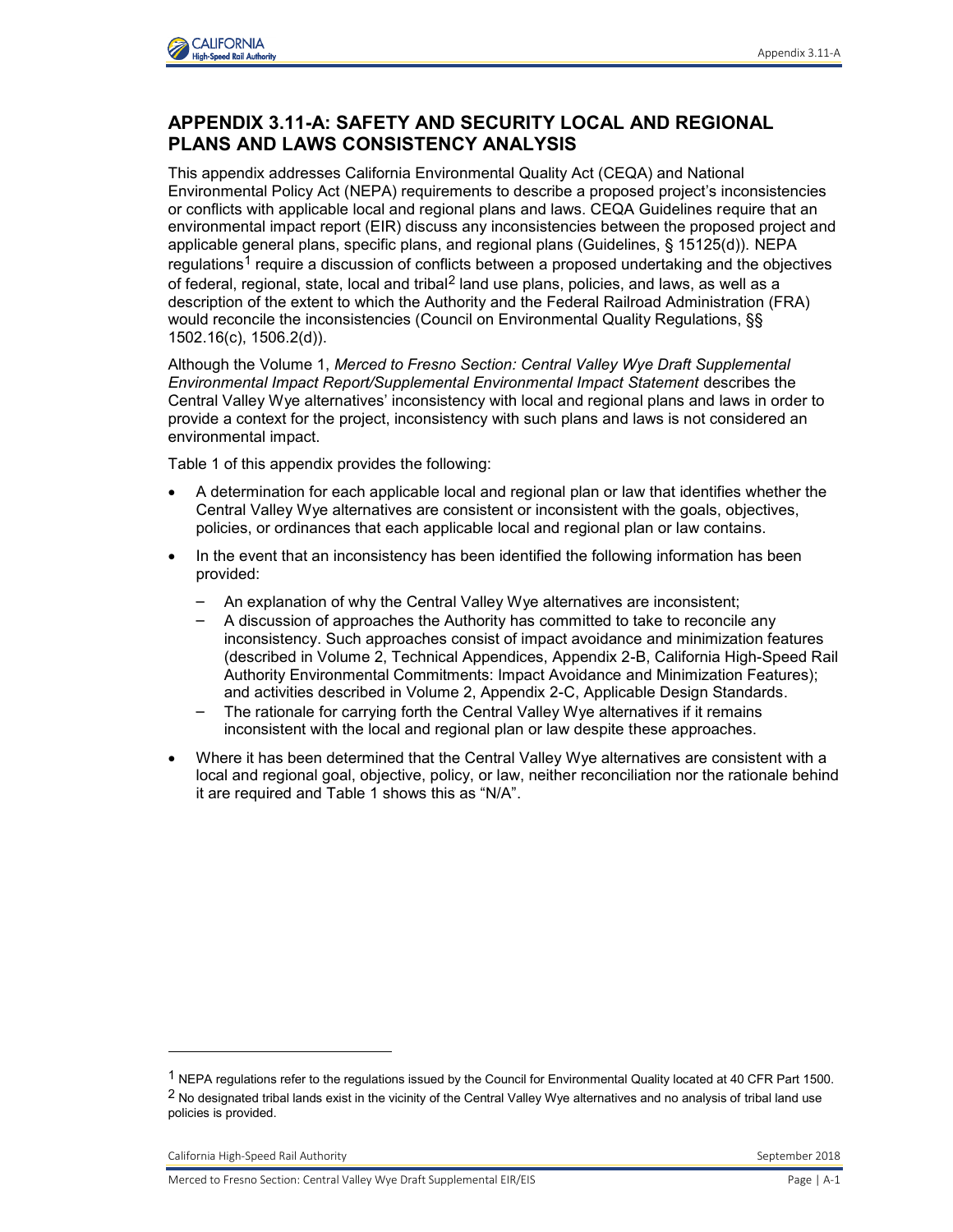

## **APPENDIX 3.11-A: SAFETY AND SECURITY LOCAL AND REGIONAL PLANS AND LAWS CONSISTENCY ANALYSIS**

This appendix addresses California Environmental Quality Act (CEQA) and National Environmental Policy Act (NEPA) requirements to describe a proposed project's inconsistencies or conflicts with applicable local and regional plans and laws. CEQA Guidelines require that an environmental impact report (EIR) discuss any inconsistencies between the proposed project and applicable general plans, specific plans, and regional plans (Guidelines, § 15125(d)). NEPA regulations<sup>1</sup> require a discussion of conflicts between a proposed undertaking and the objectives of federal, regional, state, local and tribal<sup>2</sup> land use plans, policies, and laws, as well as a description of the extent to which the Authority and the Federal Railroad Administration (FRA) would reconcile the inconsistencies (Council on Environmental Quality Regulations, §§ 1502.16(c), 1506.2(d)).

Although the Volume 1, *Merced to Fresno Section: Central Valley Wye Draft Supplemental Environmental Impact Report/Supplemental Environmental Impact Statement* describes the Central Valley Wye alternatives' inconsistency with local and regional plans and laws in order to provide a context for the project, inconsistency with such plans and laws is not considered an environmental impact.

Table 1 of this appendix provides the following:

- A determination for each applicable local and regional plan or law that identifies whether the Central Valley Wye alternatives are consistent or inconsistent with the goals, objectives, policies, or ordinances that each applicable local and regional plan or law contains.
- In the event that an inconsistency has been identified the following information has been provided:
	- An explanation of why the Central Valley Wye alternatives are inconsistent;
	- A discussion of approaches the Authority has committed to take to reconcile any inconsistency. Such approaches consist of impact avoidance and minimization features (described in Volume 2, Technical Appendices, Appendix 2-B, California High-Speed Rail Authority Environmental Commitments: Impact Avoidance and Minimization Features); and activities described in Volume 2, Appendix 2-C, Applicable Design Standards.
	- The rationale for carrying forth the Central Valley Wye alternatives if it remains inconsistent with the local and regional plan or law despite these approaches.
- Where it has been determined that the Central Valley Wye alternatives are consistent with a local and regional goal, objective, policy, or law, neither reconciliation nor the rationale behind it are required and Table 1 shows this as "N/A".

-

<sup>1</sup> NEPA regulations refer to the regulations issued by the Council for Environmental Quality located at 40 CFR Part 1500. <sup>2</sup> No designated tribal lands exist in the vicinity of the Central Valley Wye alternatives and no analysis of tribal land use policies is provided.

California High-Speed Rail Authority **September 2018** September 2018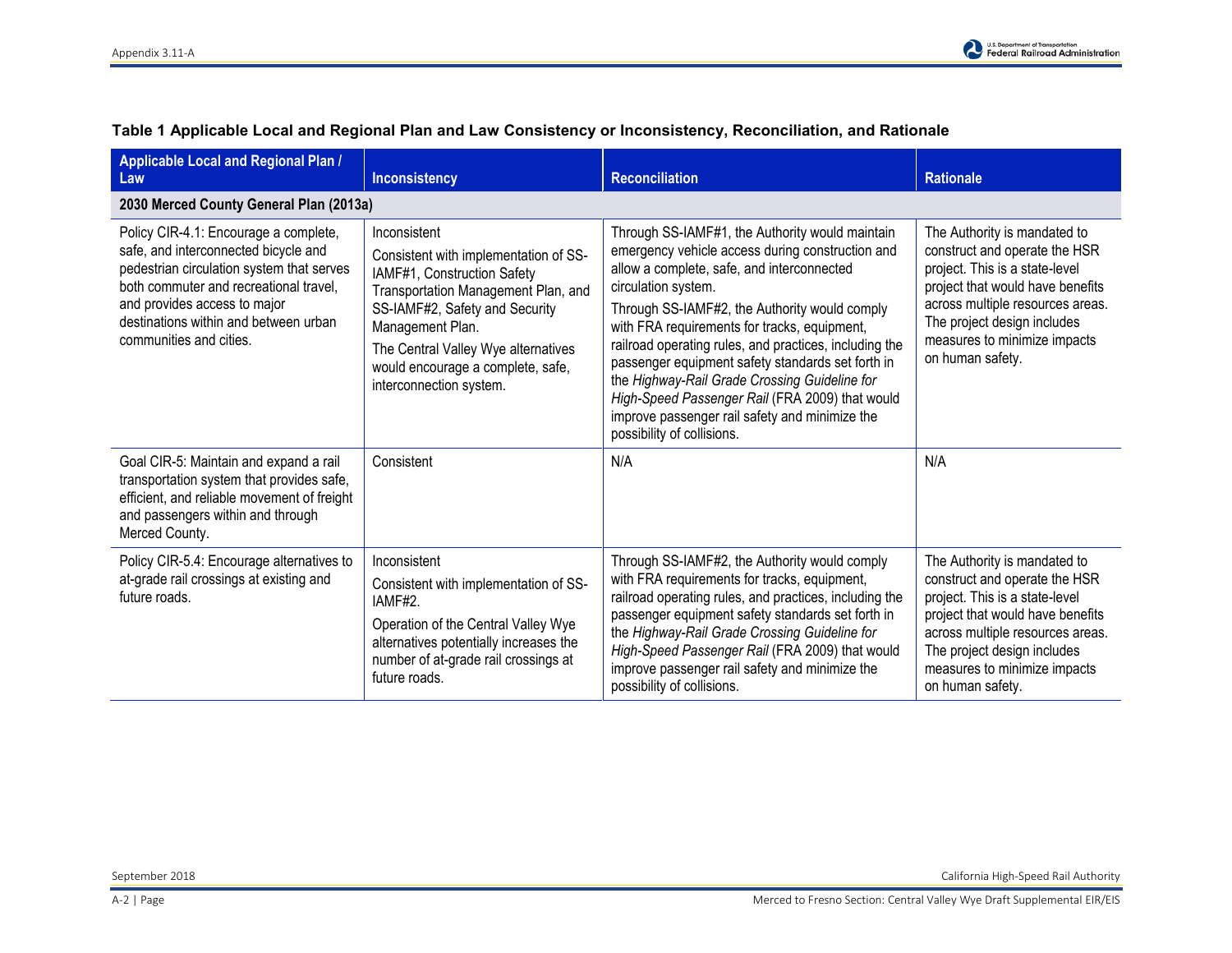| Applicable Local and Regional Plan /<br>Law                                                                                                                                                                                                                              | <b>Inconsistency</b>                                                                                                                                                                                                                                                                     | <b>Reconciliation</b>                                                                                                                                                                                                                                                                                                                                                                                                                                                                                                                                                        | <b>Rationale</b>                                                                                                                                                                                                                                           |
|--------------------------------------------------------------------------------------------------------------------------------------------------------------------------------------------------------------------------------------------------------------------------|------------------------------------------------------------------------------------------------------------------------------------------------------------------------------------------------------------------------------------------------------------------------------------------|------------------------------------------------------------------------------------------------------------------------------------------------------------------------------------------------------------------------------------------------------------------------------------------------------------------------------------------------------------------------------------------------------------------------------------------------------------------------------------------------------------------------------------------------------------------------------|------------------------------------------------------------------------------------------------------------------------------------------------------------------------------------------------------------------------------------------------------------|
| 2030 Merced County General Plan (2013a)                                                                                                                                                                                                                                  |                                                                                                                                                                                                                                                                                          |                                                                                                                                                                                                                                                                                                                                                                                                                                                                                                                                                                              |                                                                                                                                                                                                                                                            |
| Policy CIR-4.1: Encourage a complete,<br>safe, and interconnected bicycle and<br>pedestrian circulation system that serves<br>both commuter and recreational travel.<br>and provides access to major<br>destinations within and between urban<br>communities and cities. | Inconsistent<br>Consistent with implementation of SS-<br>IAMF#1, Construction Safety<br>Transportation Management Plan, and<br>SS-IAMF#2, Safety and Security<br>Management Plan.<br>The Central Valley Wye alternatives<br>would encourage a complete, safe,<br>interconnection system. | Through SS-IAMF#1, the Authority would maintain<br>emergency vehicle access during construction and<br>allow a complete, safe, and interconnected<br>circulation system.<br>Through SS-IAMF#2, the Authority would comply<br>with FRA requirements for tracks, equipment,<br>railroad operating rules, and practices, including the<br>passenger equipment safety standards set forth in<br>the Highway-Rail Grade Crossing Guideline for<br>High-Speed Passenger Rail (FRA 2009) that would<br>improve passenger rail safety and minimize the<br>possibility of collisions. | The Authority is mandated to<br>construct and operate the HSR<br>project. This is a state-level<br>project that would have benefits<br>across multiple resources areas.<br>The project design includes<br>measures to minimize impacts<br>on human safety. |
| Goal CIR-5: Maintain and expand a rail<br>transportation system that provides safe,<br>efficient, and reliable movement of freight<br>and passengers within and through<br>Merced County.                                                                                | Consistent                                                                                                                                                                                                                                                                               | N/A                                                                                                                                                                                                                                                                                                                                                                                                                                                                                                                                                                          | N/A                                                                                                                                                                                                                                                        |
| Policy CIR-5.4: Encourage alternatives to<br>at-grade rail crossings at existing and<br>future roads.                                                                                                                                                                    | Inconsistent<br>Consistent with implementation of SS-<br>IAMF#2.<br>Operation of the Central Valley Wye<br>alternatives potentially increases the<br>number of at-grade rail crossings at<br>future roads.                                                                               | Through SS-IAMF#2, the Authority would comply<br>with FRA requirements for tracks, equipment,<br>railroad operating rules, and practices, including the<br>passenger equipment safety standards set forth in<br>the Highway-Rail Grade Crossing Guideline for<br>High-Speed Passenger Rail (FRA 2009) that would<br>improve passenger rail safety and minimize the<br>possibility of collisions.                                                                                                                                                                             | The Authority is mandated to<br>construct and operate the HSR<br>project. This is a state-level<br>project that would have benefits<br>across multiple resources areas.<br>The project design includes<br>measures to minimize impacts<br>on human safety. |

## **Table 1 Applicable Local and Regional Plan and Law Consistency or Inconsistency, Reconciliation, and Rationale**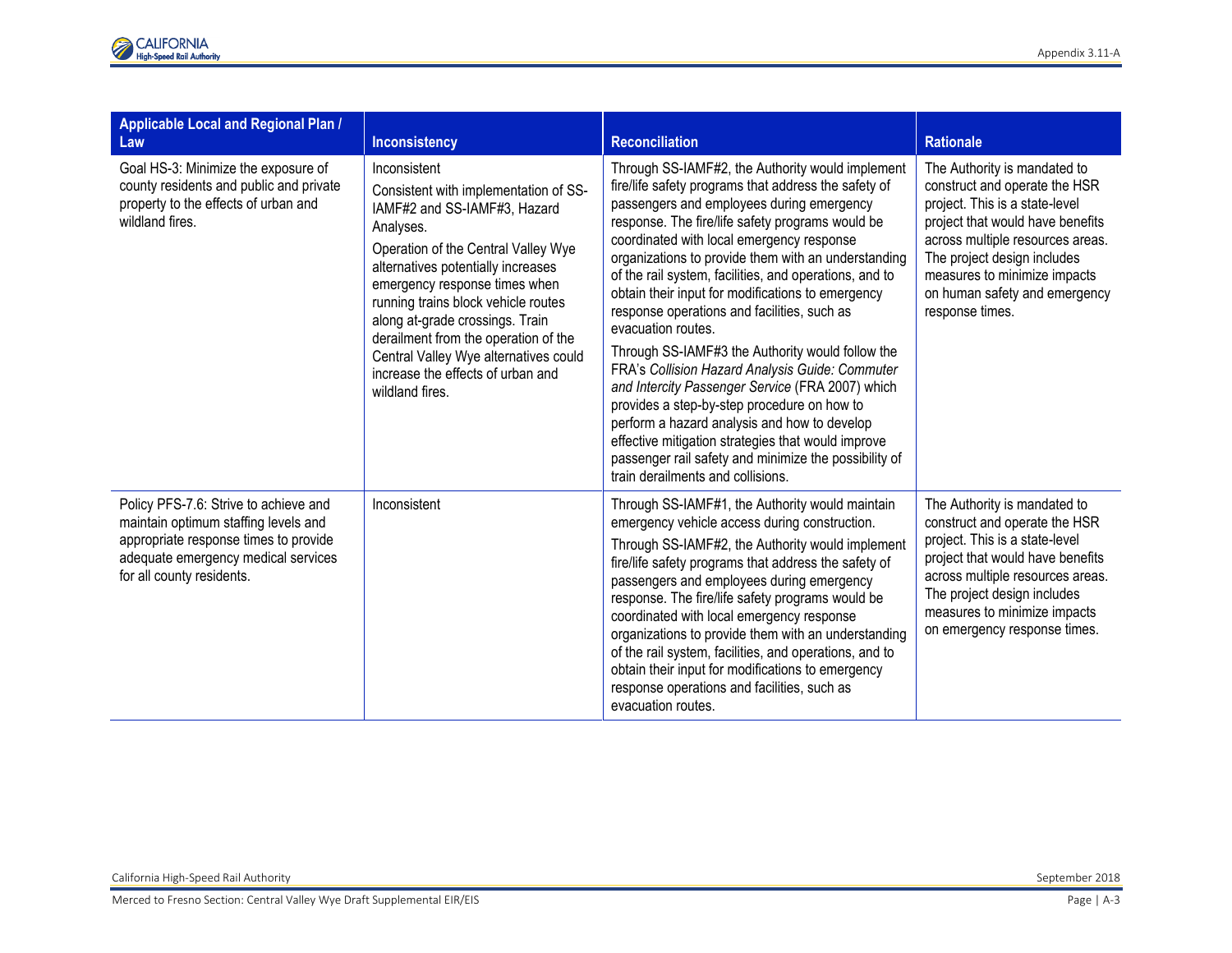| Applicable Local and Regional Plan /<br>Law                                                                                                                                                | <b>Inconsistency</b>                                                                                                                                                                                                                                                                                                                                                                                                                | <b>Reconciliation</b>                                                                                                                                                                                                                                                                                                                                                                                                                                                                                                                                                                                                                                                                                                                                                                                                                                                                                           | <b>Rationale</b>                                                                                                                                                                                                                                                                           |
|--------------------------------------------------------------------------------------------------------------------------------------------------------------------------------------------|-------------------------------------------------------------------------------------------------------------------------------------------------------------------------------------------------------------------------------------------------------------------------------------------------------------------------------------------------------------------------------------------------------------------------------------|-----------------------------------------------------------------------------------------------------------------------------------------------------------------------------------------------------------------------------------------------------------------------------------------------------------------------------------------------------------------------------------------------------------------------------------------------------------------------------------------------------------------------------------------------------------------------------------------------------------------------------------------------------------------------------------------------------------------------------------------------------------------------------------------------------------------------------------------------------------------------------------------------------------------|--------------------------------------------------------------------------------------------------------------------------------------------------------------------------------------------------------------------------------------------------------------------------------------------|
| Goal HS-3: Minimize the exposure of<br>county residents and public and private<br>property to the effects of urban and<br>wildland fires.                                                  | Inconsistent<br>Consistent with implementation of SS-<br>IAMF#2 and SS-IAMF#3, Hazard<br>Analyses.<br>Operation of the Central Valley Wye<br>alternatives potentially increases<br>emergency response times when<br>running trains block vehicle routes<br>along at-grade crossings. Train<br>derailment from the operation of the<br>Central Valley Wye alternatives could<br>increase the effects of urban and<br>wildland fires. | Through SS-IAMF#2, the Authority would implement<br>fire/life safety programs that address the safety of<br>passengers and employees during emergency<br>response. The fire/life safety programs would be<br>coordinated with local emergency response<br>organizations to provide them with an understanding<br>of the rail system, facilities, and operations, and to<br>obtain their input for modifications to emergency<br>response operations and facilities, such as<br>evacuation routes.<br>Through SS-IAMF#3 the Authority would follow the<br>FRA's Collision Hazard Analysis Guide: Commuter<br>and Intercity Passenger Service (FRA 2007) which<br>provides a step-by-step procedure on how to<br>perform a hazard analysis and how to develop<br>effective mitigation strategies that would improve<br>passenger rail safety and minimize the possibility of<br>train derailments and collisions. | The Authority is mandated to<br>construct and operate the HSR<br>project. This is a state-level<br>project that would have benefits<br>across multiple resources areas.<br>The project design includes<br>measures to minimize impacts<br>on human safety and emergency<br>response times. |
| Policy PFS-7.6: Strive to achieve and<br>maintain optimum staffing levels and<br>appropriate response times to provide<br>adequate emergency medical services<br>for all county residents. | Inconsistent                                                                                                                                                                                                                                                                                                                                                                                                                        | Through SS-IAMF#1, the Authority would maintain<br>emergency vehicle access during construction.<br>Through SS-IAMF#2, the Authority would implement<br>fire/life safety programs that address the safety of<br>passengers and employees during emergency<br>response. The fire/life safety programs would be<br>coordinated with local emergency response<br>organizations to provide them with an understanding<br>of the rail system, facilities, and operations, and to<br>obtain their input for modifications to emergency<br>response operations and facilities, such as<br>evacuation routes.                                                                                                                                                                                                                                                                                                           | The Authority is mandated to<br>construct and operate the HSR<br>project. This is a state-level<br>project that would have benefits<br>across multiple resources areas.<br>The project design includes<br>measures to minimize impacts<br>on emergency response times.                     |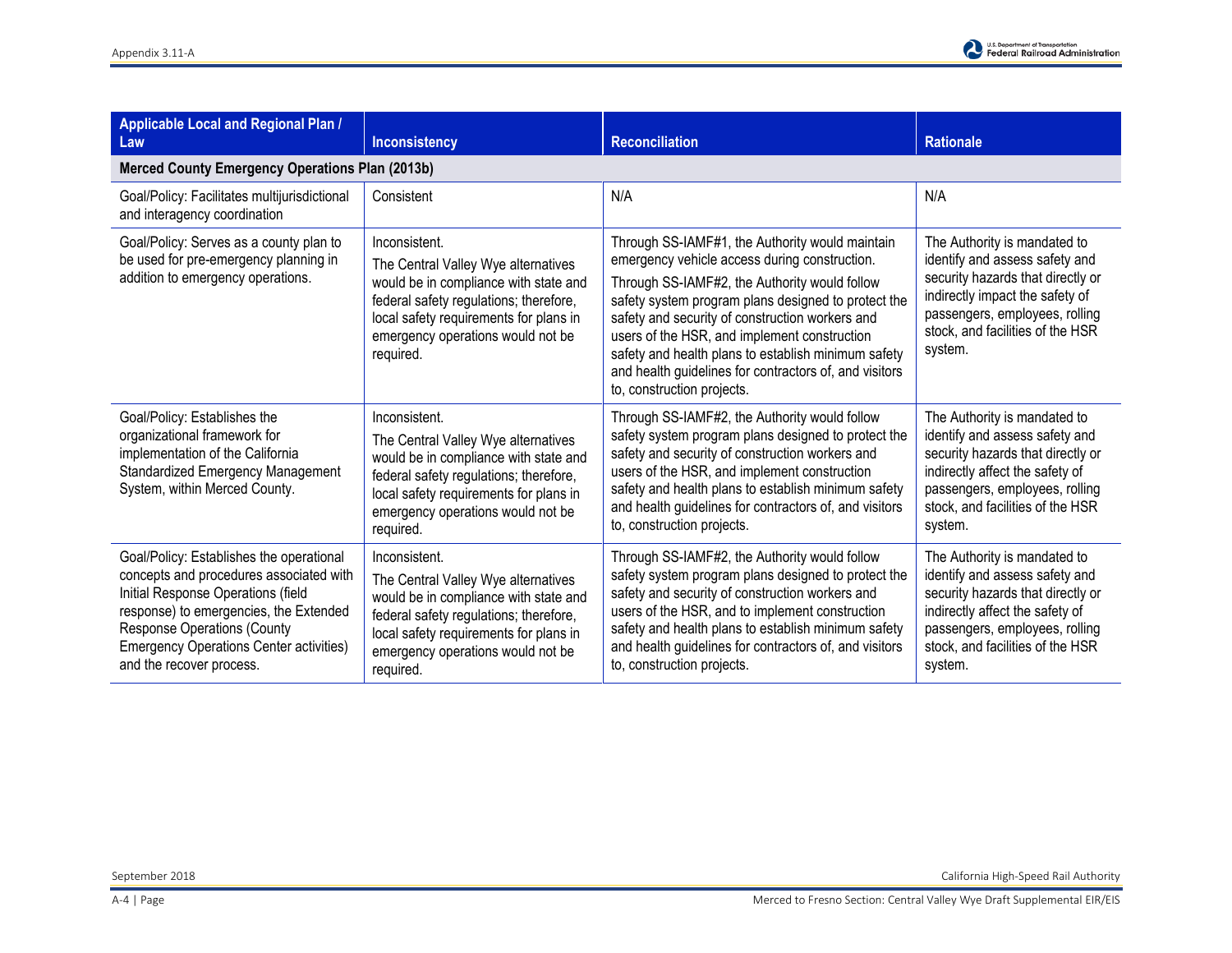

| Applicable Local and Regional Plan /<br>Law                                                                                                                                                                                                                                             | Inconsistency                                                                                                                                                                                                                       | <b>Reconciliation</b>                                                                                                                                                                                                                                                                                                                                                                                                                                      | <b>Rationale</b>                                                                                                                                                                                                        |
|-----------------------------------------------------------------------------------------------------------------------------------------------------------------------------------------------------------------------------------------------------------------------------------------|-------------------------------------------------------------------------------------------------------------------------------------------------------------------------------------------------------------------------------------|------------------------------------------------------------------------------------------------------------------------------------------------------------------------------------------------------------------------------------------------------------------------------------------------------------------------------------------------------------------------------------------------------------------------------------------------------------|-------------------------------------------------------------------------------------------------------------------------------------------------------------------------------------------------------------------------|
| <b>Merced County Emergency Operations Plan (2013b)</b>                                                                                                                                                                                                                                  |                                                                                                                                                                                                                                     |                                                                                                                                                                                                                                                                                                                                                                                                                                                            |                                                                                                                                                                                                                         |
| Goal/Policy: Facilitates multijurisdictional<br>and interagency coordination                                                                                                                                                                                                            | Consistent                                                                                                                                                                                                                          | N/A                                                                                                                                                                                                                                                                                                                                                                                                                                                        | N/A                                                                                                                                                                                                                     |
| Goal/Policy: Serves as a county plan to<br>be used for pre-emergency planning in<br>addition to emergency operations.                                                                                                                                                                   | Inconsistent.<br>The Central Valley Wye alternatives<br>would be in compliance with state and<br>federal safety regulations; therefore,<br>local safety requirements for plans in<br>emergency operations would not be<br>required. | Through SS-IAMF#1, the Authority would maintain<br>emergency vehicle access during construction.<br>Through SS-IAMF#2, the Authority would follow<br>safety system program plans designed to protect the<br>safety and security of construction workers and<br>users of the HSR, and implement construction<br>safety and health plans to establish minimum safety<br>and health guidelines for contractors of, and visitors<br>to, construction projects. | The Authority is mandated to<br>identify and assess safety and<br>security hazards that directly or<br>indirectly impact the safety of<br>passengers, employees, rolling<br>stock, and facilities of the HSR<br>system. |
| Goal/Policy: Establishes the<br>organizational framework for<br>implementation of the California<br>Standardized Emergency Management<br>System, within Merced County.                                                                                                                  | Inconsistent.<br>The Central Valley Wye alternatives<br>would be in compliance with state and<br>federal safety regulations; therefore,<br>local safety requirements for plans in<br>emergency operations would not be<br>required. | Through SS-IAMF#2, the Authority would follow<br>safety system program plans designed to protect the<br>safety and security of construction workers and<br>users of the HSR, and implement construction<br>safety and health plans to establish minimum safety<br>and health guidelines for contractors of, and visitors<br>to, construction projects.                                                                                                     | The Authority is mandated to<br>identify and assess safety and<br>security hazards that directly or<br>indirectly affect the safety of<br>passengers, employees, rolling<br>stock, and facilities of the HSR<br>system. |
| Goal/Policy: Establishes the operational<br>concepts and procedures associated with<br>Initial Response Operations (field<br>response) to emergencies, the Extended<br><b>Response Operations (County</b><br><b>Emergency Operations Center activities)</b><br>and the recover process. | Inconsistent.<br>The Central Valley Wye alternatives<br>would be in compliance with state and<br>federal safety regulations; therefore,<br>local safety requirements for plans in<br>emergency operations would not be<br>required. | Through SS-IAMF#2, the Authority would follow<br>safety system program plans designed to protect the<br>safety and security of construction workers and<br>users of the HSR, and to implement construction<br>safety and health plans to establish minimum safety<br>and health guidelines for contractors of, and visitors<br>to, construction projects.                                                                                                  | The Authority is mandated to<br>identify and assess safety and<br>security hazards that directly or<br>indirectly affect the safety of<br>passengers, employees, rolling<br>stock, and facilities of the HSR<br>system. |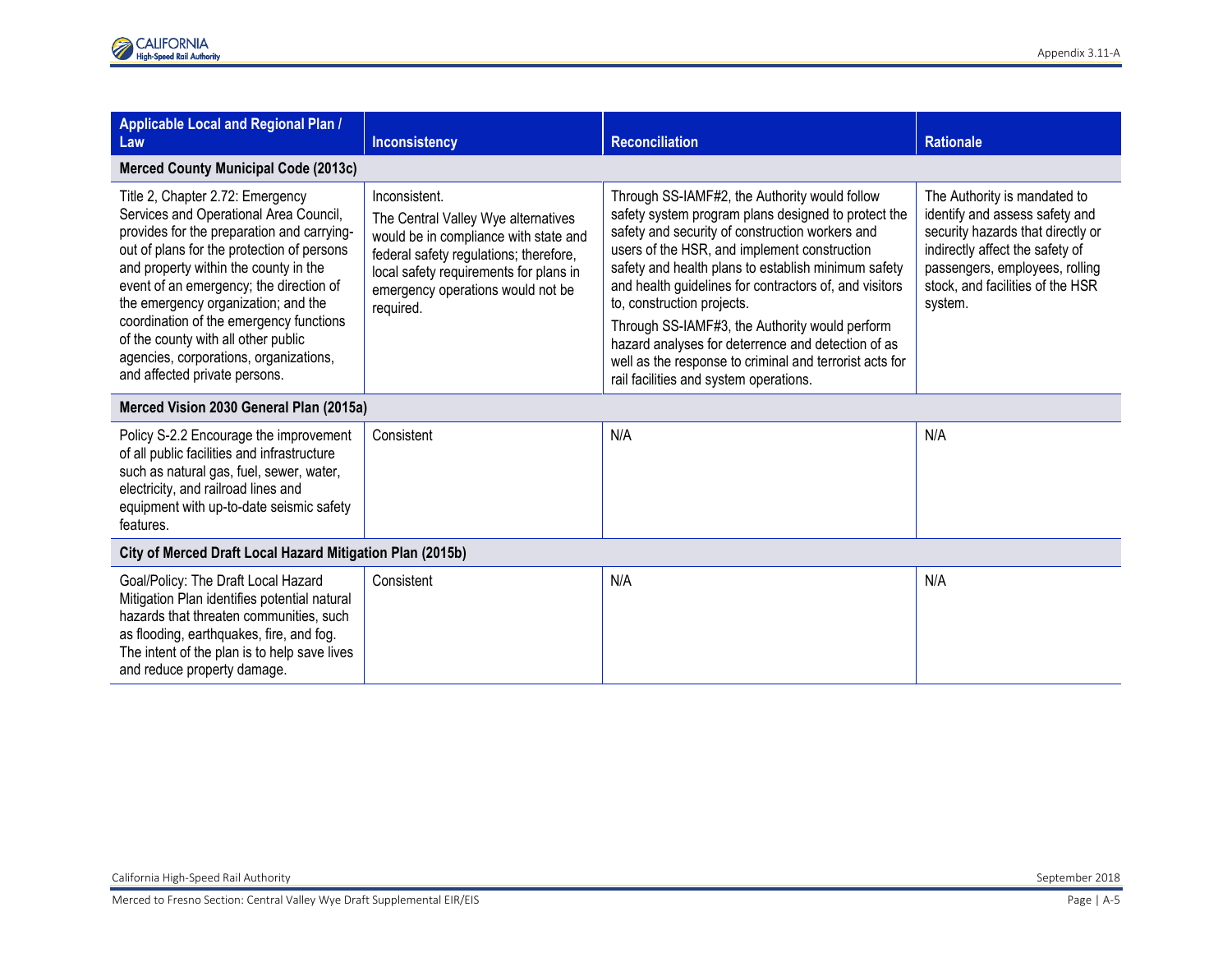| <b>Applicable Local and Regional Plan /</b><br>Law                                                                                                                                                                                                                                                                                                                                                                                                             | <b>Inconsistency</b>                                                                                                                                                                                                                | <b>Reconciliation</b>                                                                                                                                                                                                                                                                                                                                                                                                                                                                                                                                               | <b>Rationale</b>                                                                                                                                                                                                        |  |
|----------------------------------------------------------------------------------------------------------------------------------------------------------------------------------------------------------------------------------------------------------------------------------------------------------------------------------------------------------------------------------------------------------------------------------------------------------------|-------------------------------------------------------------------------------------------------------------------------------------------------------------------------------------------------------------------------------------|---------------------------------------------------------------------------------------------------------------------------------------------------------------------------------------------------------------------------------------------------------------------------------------------------------------------------------------------------------------------------------------------------------------------------------------------------------------------------------------------------------------------------------------------------------------------|-------------------------------------------------------------------------------------------------------------------------------------------------------------------------------------------------------------------------|--|
| <b>Merced County Municipal Code (2013c)</b>                                                                                                                                                                                                                                                                                                                                                                                                                    |                                                                                                                                                                                                                                     |                                                                                                                                                                                                                                                                                                                                                                                                                                                                                                                                                                     |                                                                                                                                                                                                                         |  |
| Title 2, Chapter 2.72: Emergency<br>Services and Operational Area Council,<br>provides for the preparation and carrying-<br>out of plans for the protection of persons<br>and property within the county in the<br>event of an emergency; the direction of<br>the emergency organization; and the<br>coordination of the emergency functions<br>of the county with all other public<br>agencies, corporations, organizations,<br>and affected private persons. | Inconsistent.<br>The Central Valley Wye alternatives<br>would be in compliance with state and<br>federal safety regulations; therefore,<br>local safety requirements for plans in<br>emergency operations would not be<br>required. | Through SS-IAMF#2, the Authority would follow<br>safety system program plans designed to protect the<br>safety and security of construction workers and<br>users of the HSR, and implement construction<br>safety and health plans to establish minimum safety<br>and health guidelines for contractors of, and visitors<br>to, construction projects.<br>Through SS-IAMF#3, the Authority would perform<br>hazard analyses for deterrence and detection of as<br>well as the response to criminal and terrorist acts for<br>rail facilities and system operations. | The Authority is mandated to<br>identify and assess safety and<br>security hazards that directly or<br>indirectly affect the safety of<br>passengers, employees, rolling<br>stock, and facilities of the HSR<br>system. |  |
| Merced Vision 2030 General Plan (2015a)                                                                                                                                                                                                                                                                                                                                                                                                                        |                                                                                                                                                                                                                                     |                                                                                                                                                                                                                                                                                                                                                                                                                                                                                                                                                                     |                                                                                                                                                                                                                         |  |
| Policy S-2.2 Encourage the improvement<br>of all public facilities and infrastructure<br>such as natural gas, fuel, sewer, water,<br>electricity, and railroad lines and<br>equipment with up-to-date seismic safety<br>features.                                                                                                                                                                                                                              | Consistent                                                                                                                                                                                                                          | N/A                                                                                                                                                                                                                                                                                                                                                                                                                                                                                                                                                                 | N/A                                                                                                                                                                                                                     |  |
| City of Merced Draft Local Hazard Mitigation Plan (2015b)                                                                                                                                                                                                                                                                                                                                                                                                      |                                                                                                                                                                                                                                     |                                                                                                                                                                                                                                                                                                                                                                                                                                                                                                                                                                     |                                                                                                                                                                                                                         |  |
| Goal/Policy: The Draft Local Hazard<br>Mitigation Plan identifies potential natural<br>hazards that threaten communities, such<br>as flooding, earthquakes, fire, and fog.<br>The intent of the plan is to help save lives<br>and reduce property damage.                                                                                                                                                                                                      | Consistent                                                                                                                                                                                                                          | N/A                                                                                                                                                                                                                                                                                                                                                                                                                                                                                                                                                                 | N/A                                                                                                                                                                                                                     |  |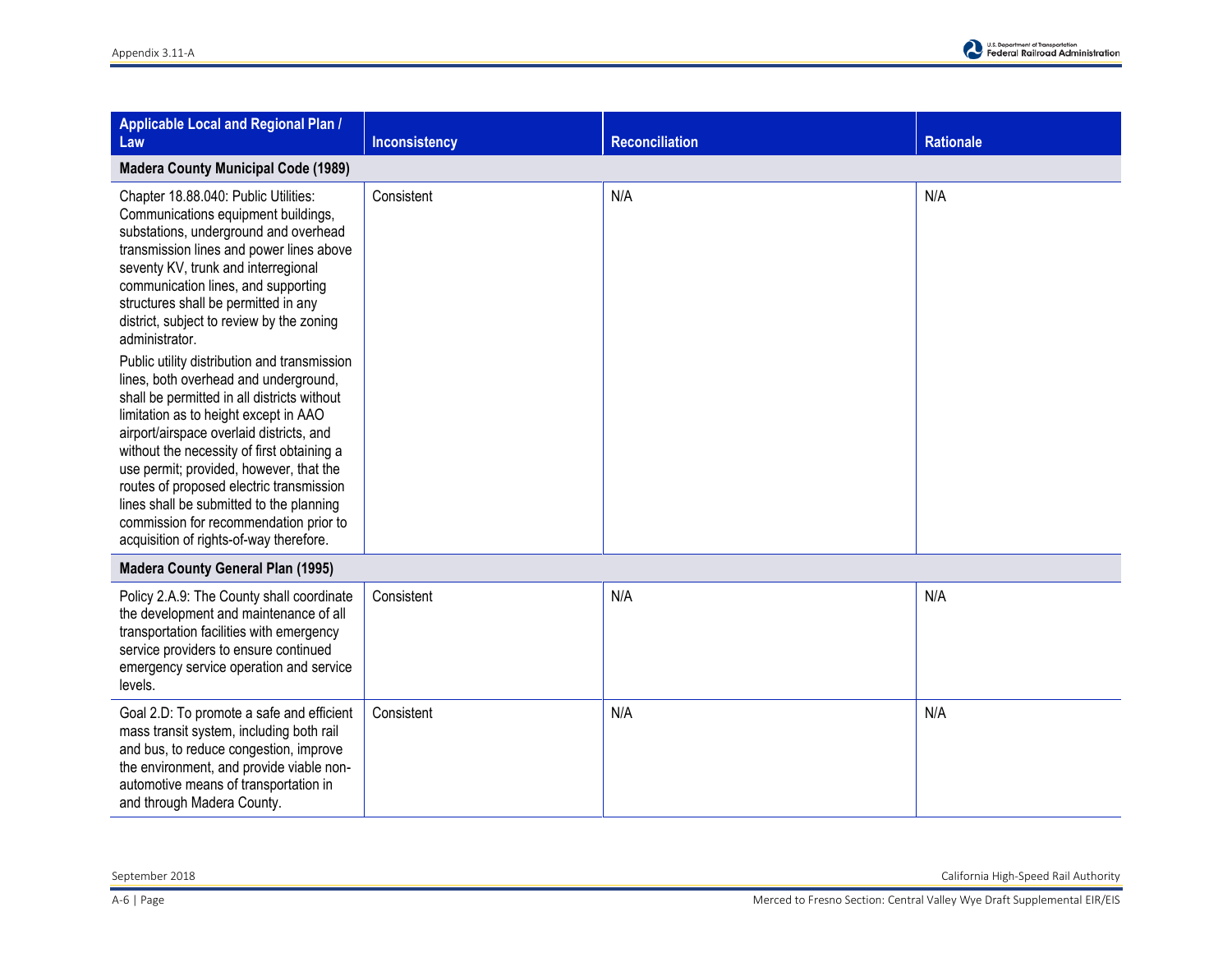| <b>Applicable Local and Regional Plan /</b><br>Law                                                                                                                                                                                                                                                                                                                                                                                                                                                                                                                                                                                                                                                                                                                                                                                                       | <b>Inconsistency</b> | <b>Reconciliation</b> | <b>Rationale</b> |
|----------------------------------------------------------------------------------------------------------------------------------------------------------------------------------------------------------------------------------------------------------------------------------------------------------------------------------------------------------------------------------------------------------------------------------------------------------------------------------------------------------------------------------------------------------------------------------------------------------------------------------------------------------------------------------------------------------------------------------------------------------------------------------------------------------------------------------------------------------|----------------------|-----------------------|------------------|
| <b>Madera County Municipal Code (1989)</b>                                                                                                                                                                                                                                                                                                                                                                                                                                                                                                                                                                                                                                                                                                                                                                                                               |                      |                       |                  |
| Chapter 18.88.040: Public Utilities:<br>Communications equipment buildings,<br>substations, underground and overhead<br>transmission lines and power lines above<br>seventy KV, trunk and interregional<br>communication lines, and supporting<br>structures shall be permitted in any<br>district, subject to review by the zoning<br>administrator.<br>Public utility distribution and transmission<br>lines, both overhead and underground,<br>shall be permitted in all districts without<br>limitation as to height except in AAO<br>airport/airspace overlaid districts, and<br>without the necessity of first obtaining a<br>use permit; provided, however, that the<br>routes of proposed electric transmission<br>lines shall be submitted to the planning<br>commission for recommendation prior to<br>acquisition of rights-of-way therefore. | Consistent           | N/A                   | N/A              |
| <b>Madera County General Plan (1995)</b>                                                                                                                                                                                                                                                                                                                                                                                                                                                                                                                                                                                                                                                                                                                                                                                                                 |                      |                       |                  |
| Policy 2.A.9: The County shall coordinate<br>the development and maintenance of all<br>transportation facilities with emergency<br>service providers to ensure continued<br>emergency service operation and service<br>levels.                                                                                                                                                                                                                                                                                                                                                                                                                                                                                                                                                                                                                           | Consistent           | N/A                   | N/A              |
| Goal 2.D: To promote a safe and efficient<br>mass transit system, including both rail<br>and bus, to reduce congestion, improve<br>the environment, and provide viable non-<br>automotive means of transportation in<br>and through Madera County.                                                                                                                                                                                                                                                                                                                                                                                                                                                                                                                                                                                                       | Consistent           | N/A                   | N/A              |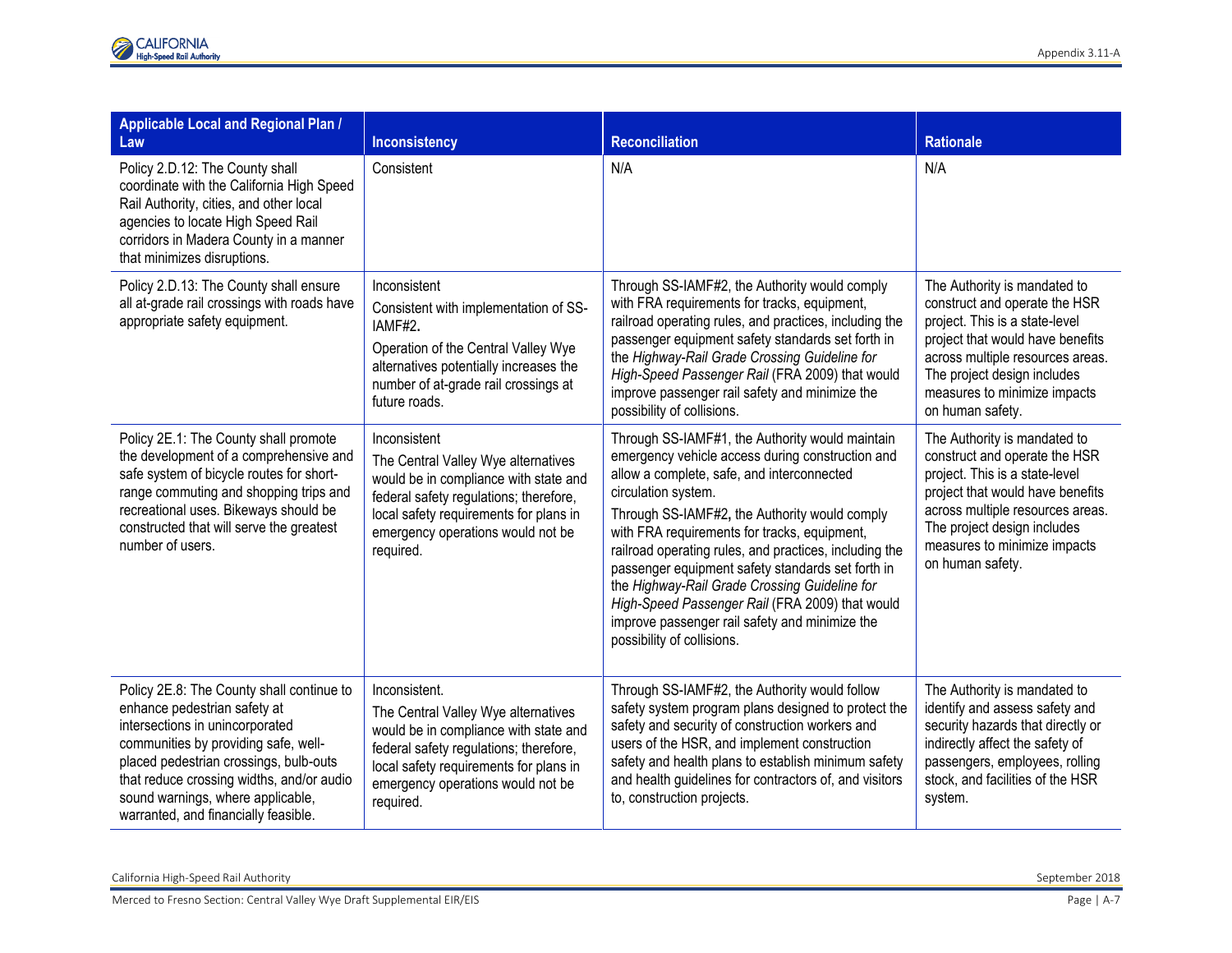| Applicable Local and Regional Plan /<br>Law                                                                                                                                                                                                                                                                              | <b>Inconsistency</b>                                                                                                                                                                                                                | <b>Reconciliation</b>                                                                                                                                                                                                                                                                                                                                                                                                                                                                                                                                                        | <b>Rationale</b>                                                                                                                                                                                                                                           |
|--------------------------------------------------------------------------------------------------------------------------------------------------------------------------------------------------------------------------------------------------------------------------------------------------------------------------|-------------------------------------------------------------------------------------------------------------------------------------------------------------------------------------------------------------------------------------|------------------------------------------------------------------------------------------------------------------------------------------------------------------------------------------------------------------------------------------------------------------------------------------------------------------------------------------------------------------------------------------------------------------------------------------------------------------------------------------------------------------------------------------------------------------------------|------------------------------------------------------------------------------------------------------------------------------------------------------------------------------------------------------------------------------------------------------------|
| Policy 2.D.12: The County shall<br>coordinate with the California High Speed<br>Rail Authority, cities, and other local<br>agencies to locate High Speed Rail<br>corridors in Madera County in a manner<br>that minimizes disruptions.                                                                                   | Consistent                                                                                                                                                                                                                          | N/A                                                                                                                                                                                                                                                                                                                                                                                                                                                                                                                                                                          | N/A                                                                                                                                                                                                                                                        |
| Policy 2.D.13: The County shall ensure<br>all at-grade rail crossings with roads have<br>appropriate safety equipment.                                                                                                                                                                                                   | Inconsistent<br>Consistent with implementation of SS-<br>IAMF#2.<br>Operation of the Central Valley Wye<br>alternatives potentially increases the<br>number of at-grade rail crossings at<br>future roads.                          | Through SS-IAMF#2, the Authority would comply<br>with FRA requirements for tracks, equipment,<br>railroad operating rules, and practices, including the<br>passenger equipment safety standards set forth in<br>the Highway-Rail Grade Crossing Guideline for<br>High-Speed Passenger Rail (FRA 2009) that would<br>improve passenger rail safety and minimize the<br>possibility of collisions.                                                                                                                                                                             | The Authority is mandated to<br>construct and operate the HSR<br>project. This is a state-level<br>project that would have benefits<br>across multiple resources areas.<br>The project design includes<br>measures to minimize impacts<br>on human safety. |
| Policy 2E.1: The County shall promote<br>the development of a comprehensive and<br>safe system of bicycle routes for short-<br>range commuting and shopping trips and<br>recreational uses. Bikeways should be<br>constructed that will serve the greatest<br>number of users.                                           | Inconsistent<br>The Central Valley Wye alternatives<br>would be in compliance with state and<br>federal safety regulations; therefore,<br>local safety requirements for plans in<br>emergency operations would not be<br>required.  | Through SS-IAMF#1, the Authority would maintain<br>emergency vehicle access during construction and<br>allow a complete, safe, and interconnected<br>circulation system.<br>Through SS-IAMF#2, the Authority would comply<br>with FRA requirements for tracks, equipment,<br>railroad operating rules, and practices, including the<br>passenger equipment safety standards set forth in<br>the Highway-Rail Grade Crossing Guideline for<br>High-Speed Passenger Rail (FRA 2009) that would<br>improve passenger rail safety and minimize the<br>possibility of collisions. | The Authority is mandated to<br>construct and operate the HSR<br>project. This is a state-level<br>project that would have benefits<br>across multiple resources areas.<br>The project design includes<br>measures to minimize impacts<br>on human safety. |
| Policy 2E.8: The County shall continue to<br>enhance pedestrian safety at<br>intersections in unincorporated<br>communities by providing safe, well-<br>placed pedestrian crossings, bulb-outs<br>that reduce crossing widths, and/or audio<br>sound warnings, where applicable,<br>warranted, and financially feasible. | Inconsistent.<br>The Central Valley Wye alternatives<br>would be in compliance with state and<br>federal safety regulations; therefore,<br>local safety requirements for plans in<br>emergency operations would not be<br>required. | Through SS-IAMF#2, the Authority would follow<br>safety system program plans designed to protect the<br>safety and security of construction workers and<br>users of the HSR, and implement construction<br>safety and health plans to establish minimum safety<br>and health guidelines for contractors of, and visitors<br>to, construction projects.                                                                                                                                                                                                                       | The Authority is mandated to<br>identify and assess safety and<br>security hazards that directly or<br>indirectly affect the safety of<br>passengers, employees, rolling<br>stock, and facilities of the HSR<br>system.                                    |

California High-Speed Rail Authority September 2018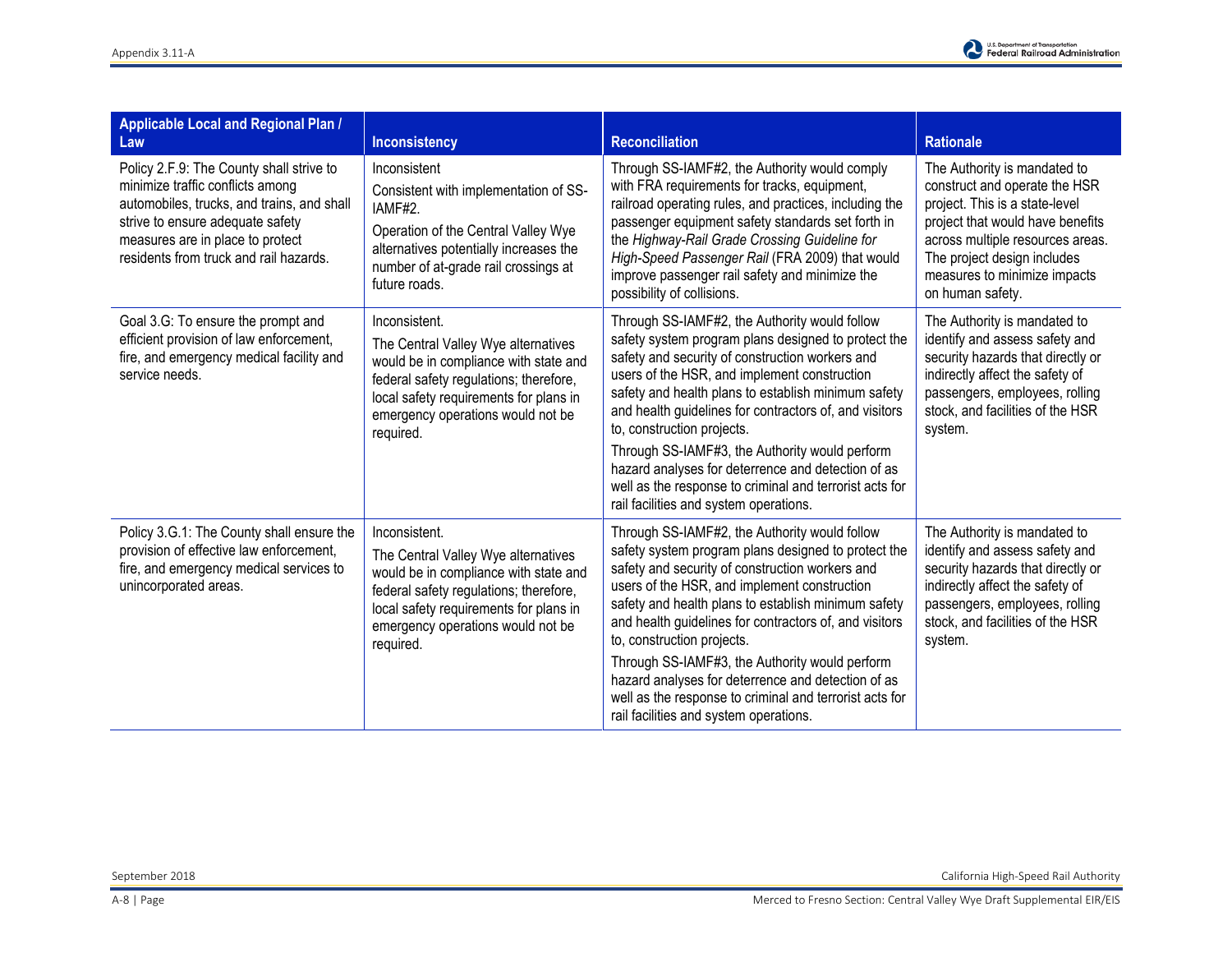

| <b>Applicable Local and Regional Plan /</b><br>Law                                                                                                                                                                                           | Inconsistency                                                                                                                                                                                                                       | <b>Reconciliation</b>                                                                                                                                                                                                                                                                                                                                                                                                                                                                                                                                               | <b>Rationale</b>                                                                                                                                                                                                                                           |
|----------------------------------------------------------------------------------------------------------------------------------------------------------------------------------------------------------------------------------------------|-------------------------------------------------------------------------------------------------------------------------------------------------------------------------------------------------------------------------------------|---------------------------------------------------------------------------------------------------------------------------------------------------------------------------------------------------------------------------------------------------------------------------------------------------------------------------------------------------------------------------------------------------------------------------------------------------------------------------------------------------------------------------------------------------------------------|------------------------------------------------------------------------------------------------------------------------------------------------------------------------------------------------------------------------------------------------------------|
| Policy 2.F.9: The County shall strive to<br>minimize traffic conflicts among<br>automobiles, trucks, and trains, and shall<br>strive to ensure adequate safety<br>measures are in place to protect<br>residents from truck and rail hazards. | Inconsistent<br>Consistent with implementation of SS-<br>IAMF#2.<br>Operation of the Central Valley Wye<br>alternatives potentially increases the<br>number of at-grade rail crossings at<br>future roads.                          | Through SS-IAMF#2, the Authority would comply<br>with FRA requirements for tracks, equipment,<br>railroad operating rules, and practices, including the<br>passenger equipment safety standards set forth in<br>the Highway-Rail Grade Crossing Guideline for<br>High-Speed Passenger Rail (FRA 2009) that would<br>improve passenger rail safety and minimize the<br>possibility of collisions.                                                                                                                                                                    | The Authority is mandated to<br>construct and operate the HSR<br>project. This is a state-level<br>project that would have benefits<br>across multiple resources areas.<br>The project design includes<br>measures to minimize impacts<br>on human safety. |
| Goal 3.G: To ensure the prompt and<br>efficient provision of law enforcement,<br>fire, and emergency medical facility and<br>service needs.                                                                                                  | Inconsistent.<br>The Central Valley Wye alternatives<br>would be in compliance with state and<br>federal safety regulations; therefore,<br>local safety requirements for plans in<br>emergency operations would not be<br>required. | Through SS-IAMF#2, the Authority would follow<br>safety system program plans designed to protect the<br>safety and security of construction workers and<br>users of the HSR, and implement construction<br>safety and health plans to establish minimum safety<br>and health guidelines for contractors of, and visitors<br>to, construction projects.<br>Through SS-IAMF#3, the Authority would perform<br>hazard analyses for deterrence and detection of as<br>well as the response to criminal and terrorist acts for<br>rail facilities and system operations. | The Authority is mandated to<br>identify and assess safety and<br>security hazards that directly or<br>indirectly affect the safety of<br>passengers, employees, rolling<br>stock, and facilities of the HSR<br>system.                                    |
| Policy 3.G.1: The County shall ensure the<br>provision of effective law enforcement,<br>fire, and emergency medical services to<br>unincorporated areas.                                                                                     | Inconsistent.<br>The Central Valley Wye alternatives<br>would be in compliance with state and<br>federal safety regulations; therefore,<br>local safety requirements for plans in<br>emergency operations would not be<br>required. | Through SS-IAMF#2, the Authority would follow<br>safety system program plans designed to protect the<br>safety and security of construction workers and<br>users of the HSR, and implement construction<br>safety and health plans to establish minimum safety<br>and health guidelines for contractors of, and visitors<br>to, construction projects.<br>Through SS-IAMF#3, the Authority would perform<br>hazard analyses for deterrence and detection of as                                                                                                      | The Authority is mandated to<br>identify and assess safety and<br>security hazards that directly or<br>indirectly affect the safety of<br>passengers, employees, rolling<br>stock, and facilities of the HSR<br>system.                                    |
|                                                                                                                                                                                                                                              |                                                                                                                                                                                                                                     | well as the response to criminal and terrorist acts for<br>rail facilities and system operations.                                                                                                                                                                                                                                                                                                                                                                                                                                                                   |                                                                                                                                                                                                                                                            |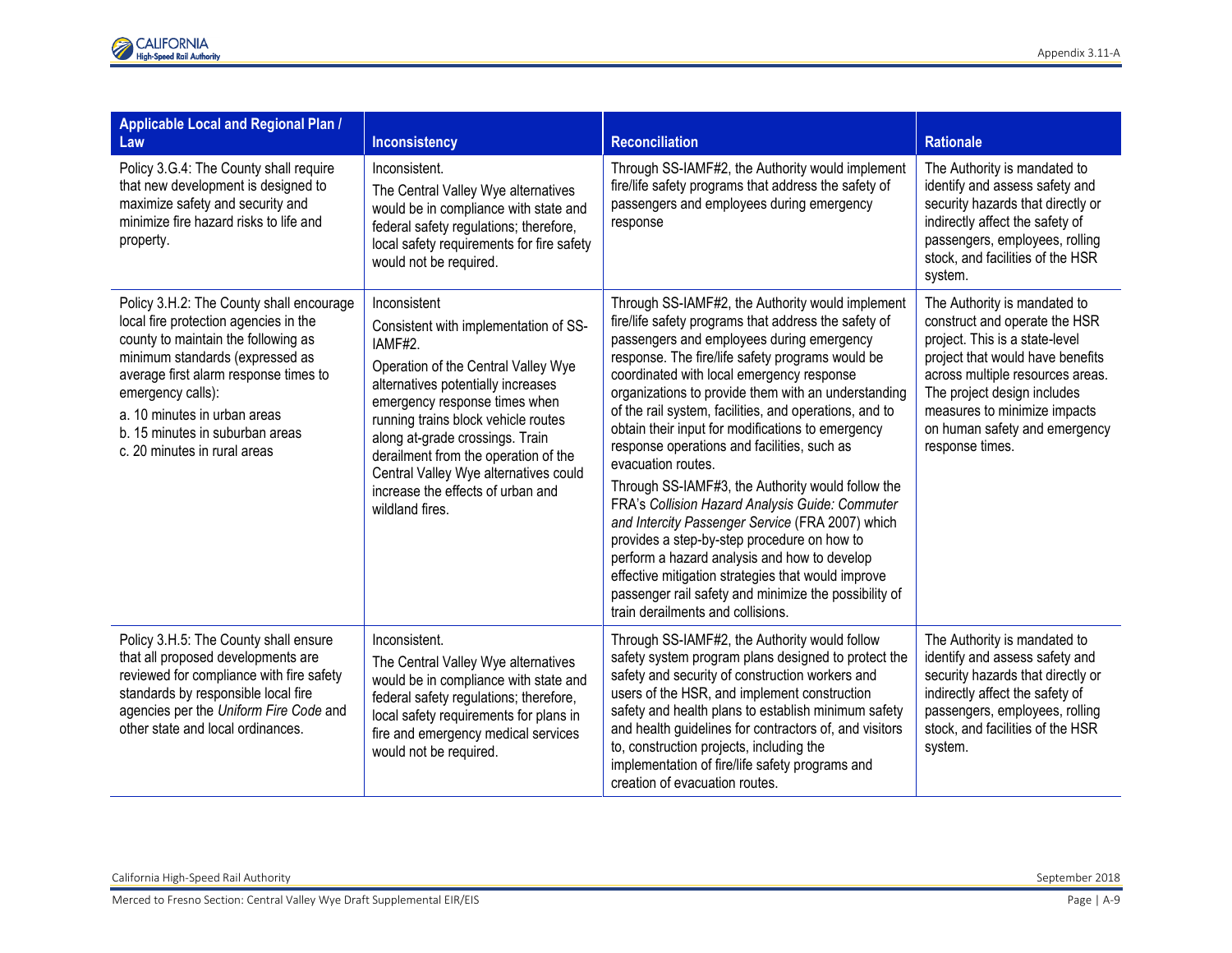| Applicable Local and Regional Plan /<br>Law                                                                                                                                                                                                                                                                                  | <b>Inconsistency</b>                                                                                                                                                                                                                                                                                                                                                                              | <b>Reconciliation</b>                                                                                                                                                                                                                                                                                                                                                                                                                                                                                                                                                                                                                                                                                                                                                                                                                                                                                            | <b>Rationale</b>                                                                                                                                                                                                                                                                           |
|------------------------------------------------------------------------------------------------------------------------------------------------------------------------------------------------------------------------------------------------------------------------------------------------------------------------------|---------------------------------------------------------------------------------------------------------------------------------------------------------------------------------------------------------------------------------------------------------------------------------------------------------------------------------------------------------------------------------------------------|------------------------------------------------------------------------------------------------------------------------------------------------------------------------------------------------------------------------------------------------------------------------------------------------------------------------------------------------------------------------------------------------------------------------------------------------------------------------------------------------------------------------------------------------------------------------------------------------------------------------------------------------------------------------------------------------------------------------------------------------------------------------------------------------------------------------------------------------------------------------------------------------------------------|--------------------------------------------------------------------------------------------------------------------------------------------------------------------------------------------------------------------------------------------------------------------------------------------|
| Policy 3.G.4: The County shall require<br>that new development is designed to<br>maximize safety and security and<br>minimize fire hazard risks to life and<br>property.                                                                                                                                                     | Inconsistent.<br>The Central Valley Wye alternatives<br>would be in compliance with state and<br>federal safety regulations; therefore,<br>local safety requirements for fire safety<br>would not be required.                                                                                                                                                                                    | Through SS-IAMF#2, the Authority would implement<br>fire/life safety programs that address the safety of<br>passengers and employees during emergency<br>response                                                                                                                                                                                                                                                                                                                                                                                                                                                                                                                                                                                                                                                                                                                                                | The Authority is mandated to<br>identify and assess safety and<br>security hazards that directly or<br>indirectly affect the safety of<br>passengers, employees, rolling<br>stock, and facilities of the HSR<br>system.                                                                    |
| Policy 3.H.2: The County shall encourage<br>local fire protection agencies in the<br>county to maintain the following as<br>minimum standards (expressed as<br>average first alarm response times to<br>emergency calls):<br>a. 10 minutes in urban areas<br>b. 15 minutes in suburban areas<br>c. 20 minutes in rural areas | Inconsistent<br>Consistent with implementation of SS-<br>IAMF#2.<br>Operation of the Central Valley Wye<br>alternatives potentially increases<br>emergency response times when<br>running trains block vehicle routes<br>along at-grade crossings. Train<br>derailment from the operation of the<br>Central Valley Wye alternatives could<br>increase the effects of urban and<br>wildland fires. | Through SS-IAMF#2, the Authority would implement<br>fire/life safety programs that address the safety of<br>passengers and employees during emergency<br>response. The fire/life safety programs would be<br>coordinated with local emergency response<br>organizations to provide them with an understanding<br>of the rail system, facilities, and operations, and to<br>obtain their input for modifications to emergency<br>response operations and facilities, such as<br>evacuation routes.<br>Through SS-IAMF#3, the Authority would follow the<br>FRA's Collision Hazard Analysis Guide: Commuter<br>and Intercity Passenger Service (FRA 2007) which<br>provides a step-by-step procedure on how to<br>perform a hazard analysis and how to develop<br>effective mitigation strategies that would improve<br>passenger rail safety and minimize the possibility of<br>train derailments and collisions. | The Authority is mandated to<br>construct and operate the HSR<br>project. This is a state-level<br>project that would have benefits<br>across multiple resources areas.<br>The project design includes<br>measures to minimize impacts<br>on human safety and emergency<br>response times. |
| Policy 3.H.5: The County shall ensure<br>that all proposed developments are<br>reviewed for compliance with fire safety<br>standards by responsible local fire<br>agencies per the Uniform Fire Code and<br>other state and local ordinances.                                                                                | Inconsistent.<br>The Central Valley Wye alternatives<br>would be in compliance with state and<br>federal safety regulations; therefore,<br>local safety requirements for plans in<br>fire and emergency medical services<br>would not be required.                                                                                                                                                | Through SS-IAMF#2, the Authority would follow<br>safety system program plans designed to protect the<br>safety and security of construction workers and<br>users of the HSR, and implement construction<br>safety and health plans to establish minimum safety<br>and health guidelines for contractors of, and visitors<br>to, construction projects, including the<br>implementation of fire/life safety programs and<br>creation of evacuation routes.                                                                                                                                                                                                                                                                                                                                                                                                                                                        | The Authority is mandated to<br>identify and assess safety and<br>security hazards that directly or<br>indirectly affect the safety of<br>passengers, employees, rolling<br>stock, and facilities of the HSR<br>system.                                                                    |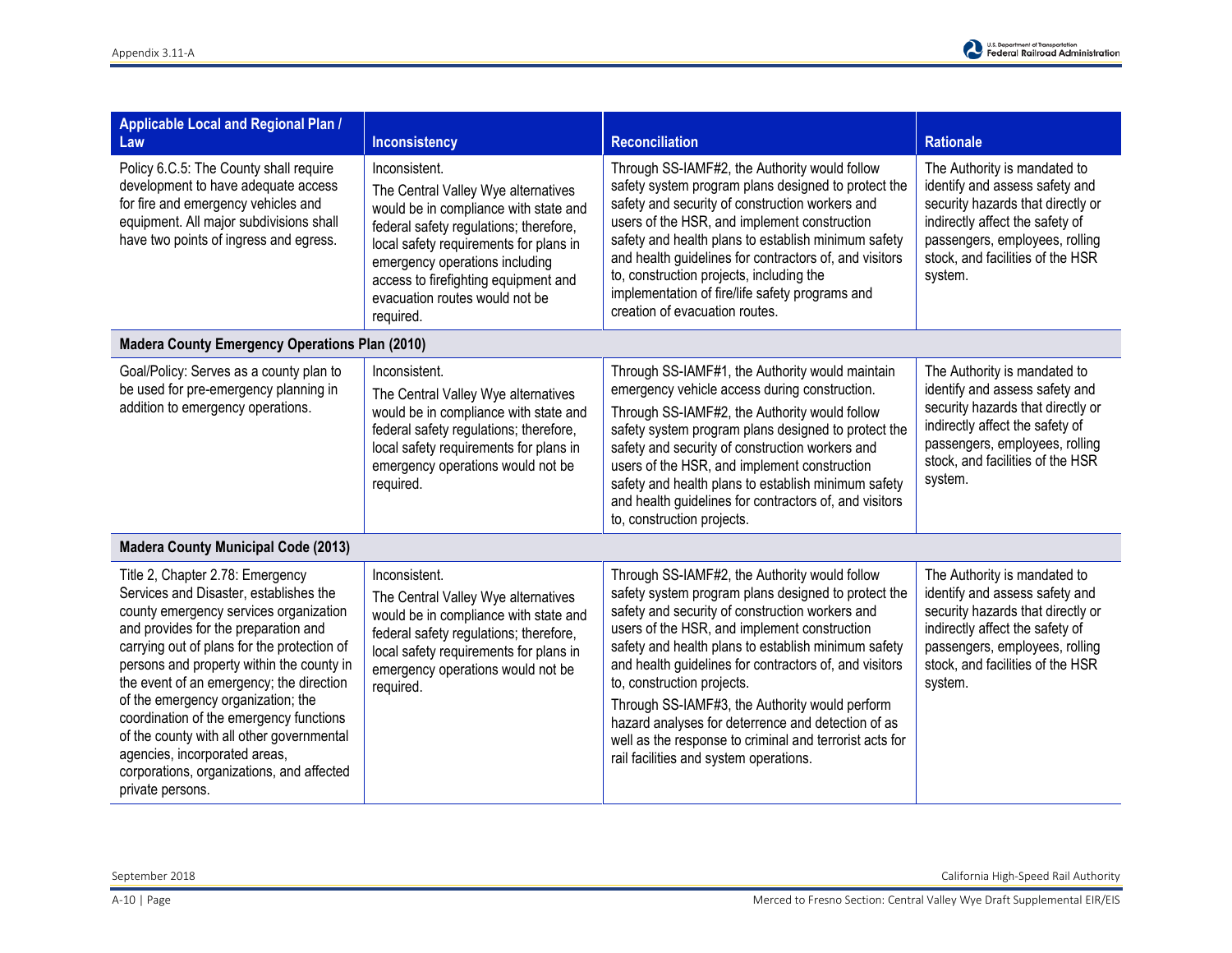

| Applicable Local and Regional Plan /<br>Law                                                                                                                                                                                                                                                                                                                                                                                                                                                                                          | <b>Inconsistency</b>                                                                                                                                                                                                                                                                                       | <b>Reconciliation</b>                                                                                                                                                                                                                                                                                                                                                                                                                                                                                                                                               | <b>Rationale</b>                                                                                                                                                                                                        |
|--------------------------------------------------------------------------------------------------------------------------------------------------------------------------------------------------------------------------------------------------------------------------------------------------------------------------------------------------------------------------------------------------------------------------------------------------------------------------------------------------------------------------------------|------------------------------------------------------------------------------------------------------------------------------------------------------------------------------------------------------------------------------------------------------------------------------------------------------------|---------------------------------------------------------------------------------------------------------------------------------------------------------------------------------------------------------------------------------------------------------------------------------------------------------------------------------------------------------------------------------------------------------------------------------------------------------------------------------------------------------------------------------------------------------------------|-------------------------------------------------------------------------------------------------------------------------------------------------------------------------------------------------------------------------|
| Policy 6.C.5: The County shall require<br>development to have adequate access<br>for fire and emergency vehicles and<br>equipment. All major subdivisions shall<br>have two points of ingress and egress.                                                                                                                                                                                                                                                                                                                            | Inconsistent.<br>The Central Valley Wye alternatives<br>would be in compliance with state and<br>federal safety regulations; therefore,<br>local safety requirements for plans in<br>emergency operations including<br>access to firefighting equipment and<br>evacuation routes would not be<br>required. | Through SS-IAMF#2, the Authority would follow<br>safety system program plans designed to protect the<br>safety and security of construction workers and<br>users of the HSR, and implement construction<br>safety and health plans to establish minimum safety<br>and health guidelines for contractors of, and visitors<br>to, construction projects, including the<br>implementation of fire/life safety programs and<br>creation of evacuation routes.                                                                                                           | The Authority is mandated to<br>identify and assess safety and<br>security hazards that directly or<br>indirectly affect the safety of<br>passengers, employees, rolling<br>stock, and facilities of the HSR<br>system. |
| <b>Madera County Emergency Operations Plan (2010)</b>                                                                                                                                                                                                                                                                                                                                                                                                                                                                                |                                                                                                                                                                                                                                                                                                            |                                                                                                                                                                                                                                                                                                                                                                                                                                                                                                                                                                     |                                                                                                                                                                                                                         |
| Goal/Policy: Serves as a county plan to<br>be used for pre-emergency planning in<br>addition to emergency operations.                                                                                                                                                                                                                                                                                                                                                                                                                | Inconsistent.<br>The Central Valley Wye alternatives<br>would be in compliance with state and<br>federal safety regulations; therefore,<br>local safety requirements for plans in<br>emergency operations would not be<br>required.                                                                        | Through SS-IAMF#1, the Authority would maintain<br>emergency vehicle access during construction.<br>Through SS-IAMF#2, the Authority would follow<br>safety system program plans designed to protect the<br>safety and security of construction workers and<br>users of the HSR, and implement construction<br>safety and health plans to establish minimum safety<br>and health guidelines for contractors of, and visitors<br>to, construction projects.                                                                                                          | The Authority is mandated to<br>identify and assess safety and<br>security hazards that directly or<br>indirectly affect the safety of<br>passengers, employees, rolling<br>stock, and facilities of the HSR<br>system. |
| <b>Madera County Municipal Code (2013)</b>                                                                                                                                                                                                                                                                                                                                                                                                                                                                                           |                                                                                                                                                                                                                                                                                                            |                                                                                                                                                                                                                                                                                                                                                                                                                                                                                                                                                                     |                                                                                                                                                                                                                         |
| Title 2, Chapter 2.78: Emergency<br>Services and Disaster, establishes the<br>county emergency services organization<br>and provides for the preparation and<br>carrying out of plans for the protection of<br>persons and property within the county in<br>the event of an emergency; the direction<br>of the emergency organization; the<br>coordination of the emergency functions<br>of the county with all other governmental<br>agencies, incorporated areas,<br>corporations, organizations, and affected<br>private persons. | Inconsistent.<br>The Central Valley Wye alternatives<br>would be in compliance with state and<br>federal safety regulations; therefore,<br>local safety requirements for plans in<br>emergency operations would not be<br>required.                                                                        | Through SS-IAMF#2, the Authority would follow<br>safety system program plans designed to protect the<br>safety and security of construction workers and<br>users of the HSR, and implement construction<br>safety and health plans to establish minimum safety<br>and health guidelines for contractors of, and visitors<br>to, construction projects.<br>Through SS-IAMF#3, the Authority would perform<br>hazard analyses for deterrence and detection of as<br>well as the response to criminal and terrorist acts for<br>rail facilities and system operations. | The Authority is mandated to<br>identify and assess safety and<br>security hazards that directly or<br>indirectly affect the safety of<br>passengers, employees, rolling<br>stock, and facilities of the HSR<br>system. |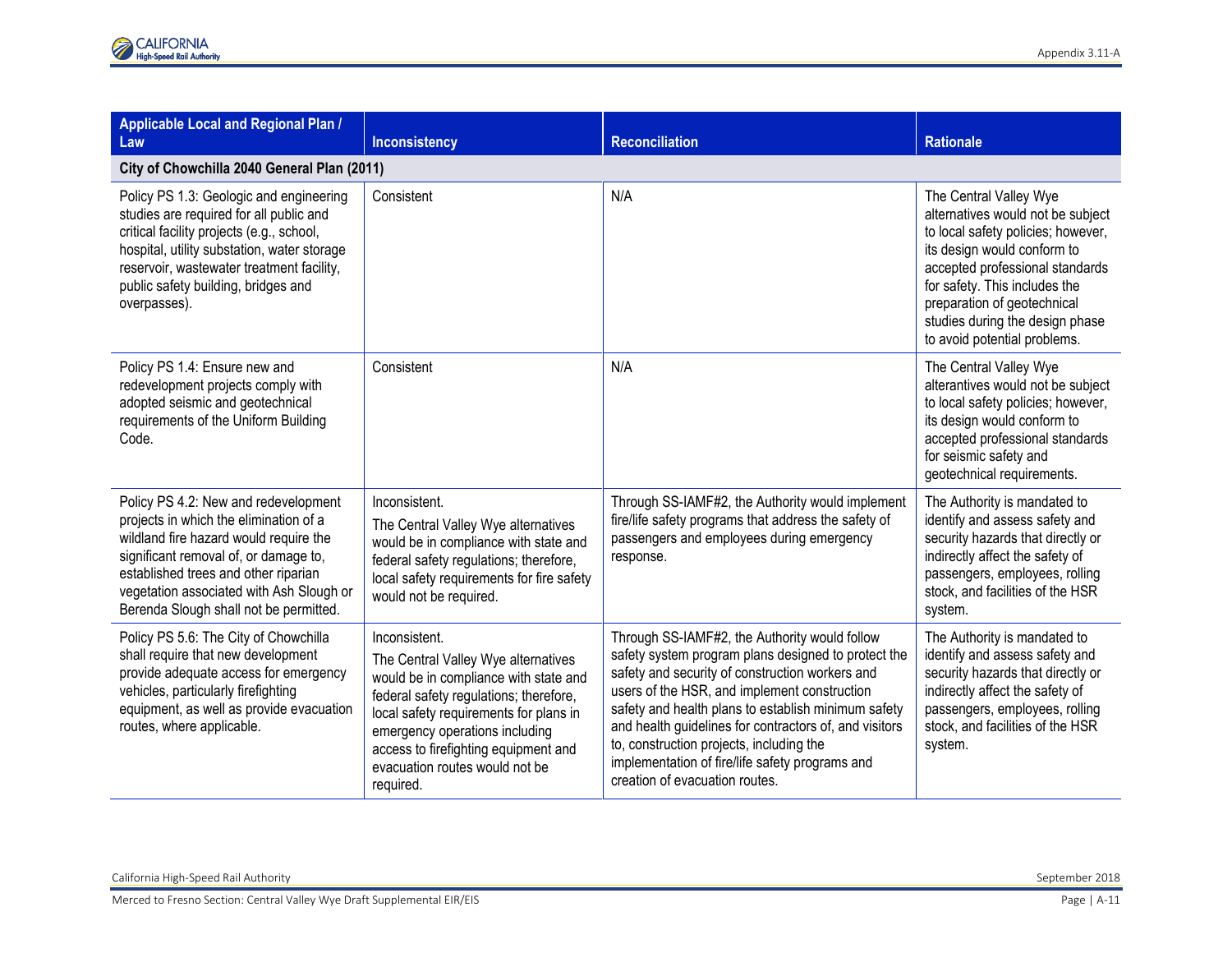| Applicable Local and Regional Plan /<br>Law                                                                                                                                                                                                                                                     | Inconsistency                                                                                                                                                                                                                                                                                              | <b>Reconciliation</b>                                                                                                                                                                                                                                                                                                                                                                                                                                     | <b>Rationale</b>                                                                                                                                                                                                                                                                                       |
|-------------------------------------------------------------------------------------------------------------------------------------------------------------------------------------------------------------------------------------------------------------------------------------------------|------------------------------------------------------------------------------------------------------------------------------------------------------------------------------------------------------------------------------------------------------------------------------------------------------------|-----------------------------------------------------------------------------------------------------------------------------------------------------------------------------------------------------------------------------------------------------------------------------------------------------------------------------------------------------------------------------------------------------------------------------------------------------------|--------------------------------------------------------------------------------------------------------------------------------------------------------------------------------------------------------------------------------------------------------------------------------------------------------|
| City of Chowchilla 2040 General Plan (2011)                                                                                                                                                                                                                                                     |                                                                                                                                                                                                                                                                                                            |                                                                                                                                                                                                                                                                                                                                                                                                                                                           |                                                                                                                                                                                                                                                                                                        |
| Policy PS 1.3: Geologic and engineering<br>studies are required for all public and<br>critical facility projects (e.g., school,<br>hospital, utility substation, water storage<br>reservoir, wastewater treatment facility,<br>public safety building, bridges and<br>overpasses).              | Consistent                                                                                                                                                                                                                                                                                                 | N/A                                                                                                                                                                                                                                                                                                                                                                                                                                                       | The Central Valley Wye<br>alternatives would not be subject<br>to local safety policies; however,<br>its design would conform to<br>accepted professional standards<br>for safety. This includes the<br>preparation of geotechnical<br>studies during the design phase<br>to avoid potential problems. |
| Policy PS 1.4: Ensure new and<br>redevelopment projects comply with<br>adopted seismic and geotechnical<br>requirements of the Uniform Building<br>Code.                                                                                                                                        | Consistent                                                                                                                                                                                                                                                                                                 | N/A                                                                                                                                                                                                                                                                                                                                                                                                                                                       | The Central Valley Wye<br>alterantives would not be subject<br>to local safety policies; however,<br>its design would conform to<br>accepted professional standards<br>for seismic safety and<br>geotechnical requirements.                                                                            |
| Policy PS 4.2: New and redevelopment<br>projects in which the elimination of a<br>wildland fire hazard would require the<br>significant removal of, or damage to,<br>established trees and other riparian<br>vegetation associated with Ash Slough or<br>Berenda Slough shall not be permitted. | Inconsistent.<br>The Central Valley Wye alternatives<br>would be in compliance with state and<br>federal safety regulations; therefore,<br>local safety requirements for fire safety<br>would not be required.                                                                                             | Through SS-IAMF#2, the Authority would implement<br>fire/life safety programs that address the safety of<br>passengers and employees during emergency<br>response.                                                                                                                                                                                                                                                                                        | The Authority is mandated to<br>identify and assess safety and<br>security hazards that directly or<br>indirectly affect the safety of<br>passengers, employees, rolling<br>stock, and facilities of the HSR<br>system.                                                                                |
| Policy PS 5.6: The City of Chowchilla<br>shall require that new development<br>provide adequate access for emergency<br>vehicles, particularly firefighting<br>equipment, as well as provide evacuation<br>routes, where applicable.                                                            | Inconsistent.<br>The Central Valley Wye alternatives<br>would be in compliance with state and<br>federal safety regulations; therefore,<br>local safety requirements for plans in<br>emergency operations including<br>access to firefighting equipment and<br>evacuation routes would not be<br>required. | Through SS-IAMF#2, the Authority would follow<br>safety system program plans designed to protect the<br>safety and security of construction workers and<br>users of the HSR, and implement construction<br>safety and health plans to establish minimum safety<br>and health guidelines for contractors of, and visitors<br>to, construction projects, including the<br>implementation of fire/life safety programs and<br>creation of evacuation routes. | The Authority is mandated to<br>identify and assess safety and<br>security hazards that directly or<br>indirectly affect the safety of<br>passengers, employees, rolling<br>stock, and facilities of the HSR<br>system.                                                                                |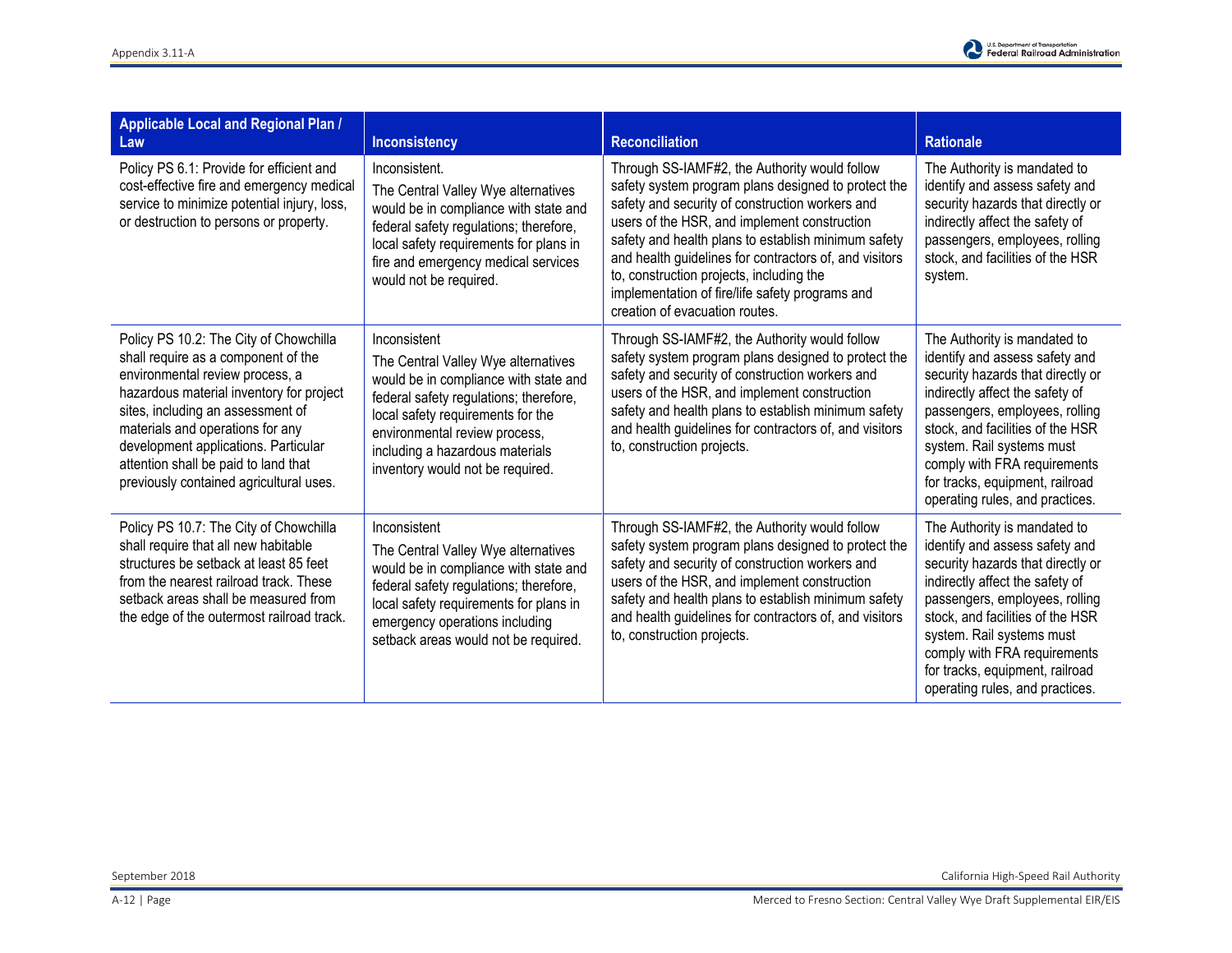

| Applicable Local and Regional Plan /<br>Law                                                                                                                                                                                                                                                                                                                      | Inconsistency                                                                                                                                                                                                                                                                       | <b>Reconciliation</b>                                                                                                                                                                                                                                                                                                                                                                                                                                     | <b>Rationale</b>                                                                                                                                                                                                                                                                                                                                |
|------------------------------------------------------------------------------------------------------------------------------------------------------------------------------------------------------------------------------------------------------------------------------------------------------------------------------------------------------------------|-------------------------------------------------------------------------------------------------------------------------------------------------------------------------------------------------------------------------------------------------------------------------------------|-----------------------------------------------------------------------------------------------------------------------------------------------------------------------------------------------------------------------------------------------------------------------------------------------------------------------------------------------------------------------------------------------------------------------------------------------------------|-------------------------------------------------------------------------------------------------------------------------------------------------------------------------------------------------------------------------------------------------------------------------------------------------------------------------------------------------|
| Policy PS 6.1: Provide for efficient and<br>cost-effective fire and emergency medical<br>service to minimize potential injury, loss,<br>or destruction to persons or property.                                                                                                                                                                                   | Inconsistent.<br>The Central Valley Wye alternatives<br>would be in compliance with state and<br>federal safety regulations; therefore,<br>local safety requirements for plans in<br>fire and emergency medical services<br>would not be required.                                  | Through SS-IAMF#2, the Authority would follow<br>safety system program plans designed to protect the<br>safety and security of construction workers and<br>users of the HSR, and implement construction<br>safety and health plans to establish minimum safety<br>and health guidelines for contractors of, and visitors<br>to, construction projects, including the<br>implementation of fire/life safety programs and<br>creation of evacuation routes. | The Authority is mandated to<br>identify and assess safety and<br>security hazards that directly or<br>indirectly affect the safety of<br>passengers, employees, rolling<br>stock, and facilities of the HSR<br>system.                                                                                                                         |
| Policy PS 10.2: The City of Chowchilla<br>shall require as a component of the<br>environmental review process, a<br>hazardous material inventory for project<br>sites, including an assessment of<br>materials and operations for any<br>development applications. Particular<br>attention shall be paid to land that<br>previously contained agricultural uses. | Inconsistent<br>The Central Valley Wye alternatives<br>would be in compliance with state and<br>federal safety regulations; therefore,<br>local safety requirements for the<br>environmental review process,<br>including a hazardous materials<br>inventory would not be required. | Through SS-IAMF#2, the Authority would follow<br>safety system program plans designed to protect the<br>safety and security of construction workers and<br>users of the HSR, and implement construction<br>safety and health plans to establish minimum safety<br>and health guidelines for contractors of, and visitors<br>to, construction projects.                                                                                                    | The Authority is mandated to<br>identify and assess safety and<br>security hazards that directly or<br>indirectly affect the safety of<br>passengers, employees, rolling<br>stock, and facilities of the HSR<br>system. Rail systems must<br>comply with FRA requirements<br>for tracks, equipment, railroad<br>operating rules, and practices. |
| Policy PS 10.7: The City of Chowchilla<br>shall require that all new habitable<br>structures be setback at least 85 feet<br>from the nearest railroad track. These<br>setback areas shall be measured from<br>the edge of the outermost railroad track.                                                                                                          | Inconsistent<br>The Central Valley Wye alternatives<br>would be in compliance with state and<br>federal safety regulations; therefore,<br>local safety requirements for plans in<br>emergency operations including<br>setback areas would not be required.                          | Through SS-IAMF#2, the Authority would follow<br>safety system program plans designed to protect the<br>safety and security of construction workers and<br>users of the HSR, and implement construction<br>safety and health plans to establish minimum safety<br>and health guidelines for contractors of, and visitors<br>to, construction projects.                                                                                                    | The Authority is mandated to<br>identify and assess safety and<br>security hazards that directly or<br>indirectly affect the safety of<br>passengers, employees, rolling<br>stock, and facilities of the HSR<br>system. Rail systems must<br>comply with FRA requirements<br>for tracks, equipment, railroad<br>operating rules, and practices. |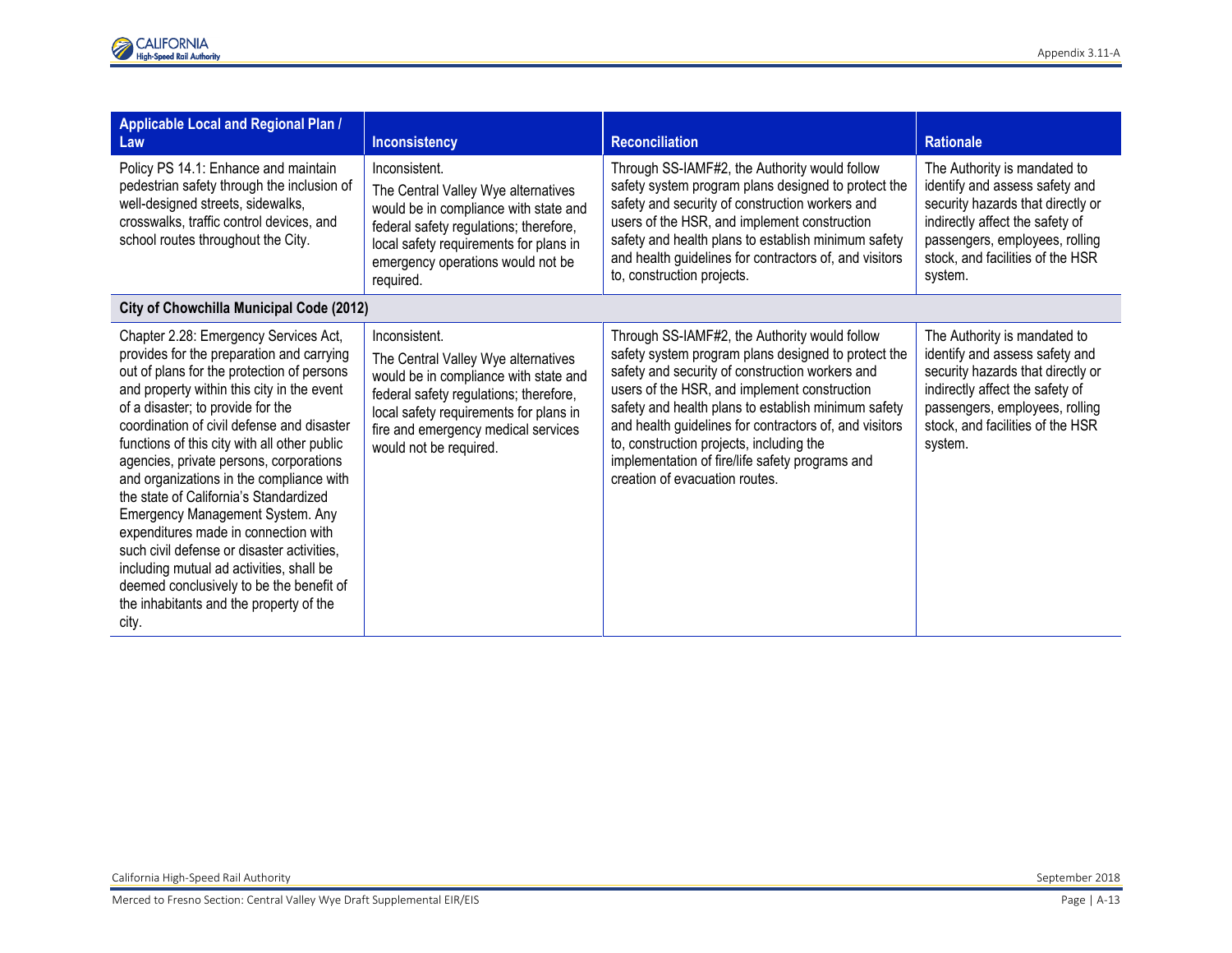| Applicable Local and Regional Plan /<br>Law                                                                                                                                                                                                                                                                                                                                                                                                                                                                                                                                                                                                                                                                              | <b>Inconsistency</b>                                                                                                                                                                                                                               | <b>Reconciliation</b>                                                                                                                                                                                                                                                                                                                                                                                                                                     | <b>Rationale</b>                                                                                                                                                                                                        |
|--------------------------------------------------------------------------------------------------------------------------------------------------------------------------------------------------------------------------------------------------------------------------------------------------------------------------------------------------------------------------------------------------------------------------------------------------------------------------------------------------------------------------------------------------------------------------------------------------------------------------------------------------------------------------------------------------------------------------|----------------------------------------------------------------------------------------------------------------------------------------------------------------------------------------------------------------------------------------------------|-----------------------------------------------------------------------------------------------------------------------------------------------------------------------------------------------------------------------------------------------------------------------------------------------------------------------------------------------------------------------------------------------------------------------------------------------------------|-------------------------------------------------------------------------------------------------------------------------------------------------------------------------------------------------------------------------|
| Policy PS 14.1: Enhance and maintain<br>pedestrian safety through the inclusion of<br>well-designed streets, sidewalks,<br>crosswalks, traffic control devices, and<br>school routes throughout the City.                                                                                                                                                                                                                                                                                                                                                                                                                                                                                                                | Inconsistent.<br>The Central Valley Wye alternatives<br>would be in compliance with state and<br>federal safety regulations; therefore,<br>local safety requirements for plans in<br>emergency operations would not be<br>required.                | Through SS-IAMF#2, the Authority would follow<br>safety system program plans designed to protect the<br>safety and security of construction workers and<br>users of the HSR, and implement construction<br>safety and health plans to establish minimum safety<br>and health guidelines for contractors of, and visitors<br>to, construction projects.                                                                                                    | The Authority is mandated to<br>identify and assess safety and<br>security hazards that directly or<br>indirectly affect the safety of<br>passengers, employees, rolling<br>stock, and facilities of the HSR<br>system. |
| City of Chowchilla Municipal Code (2012)                                                                                                                                                                                                                                                                                                                                                                                                                                                                                                                                                                                                                                                                                 |                                                                                                                                                                                                                                                    |                                                                                                                                                                                                                                                                                                                                                                                                                                                           |                                                                                                                                                                                                                         |
| Chapter 2.28: Emergency Services Act,<br>provides for the preparation and carrying<br>out of plans for the protection of persons<br>and property within this city in the event<br>of a disaster; to provide for the<br>coordination of civil defense and disaster<br>functions of this city with all other public<br>agencies, private persons, corporations<br>and organizations in the compliance with<br>the state of California's Standardized<br>Emergency Management System. Any<br>expenditures made in connection with<br>such civil defense or disaster activities.<br>including mutual ad activities, shall be<br>deemed conclusively to be the benefit of<br>the inhabitants and the property of the<br>city. | Inconsistent.<br>The Central Valley Wye alternatives<br>would be in compliance with state and<br>federal safety regulations; therefore,<br>local safety requirements for plans in<br>fire and emergency medical services<br>would not be required. | Through SS-IAMF#2, the Authority would follow<br>safety system program plans designed to protect the<br>safety and security of construction workers and<br>users of the HSR, and implement construction<br>safety and health plans to establish minimum safety<br>and health guidelines for contractors of, and visitors<br>to, construction projects, including the<br>implementation of fire/life safety programs and<br>creation of evacuation routes. | The Authority is mandated to<br>identify and assess safety and<br>security hazards that directly or<br>indirectly affect the safety of<br>passengers, employees, rolling<br>stock, and facilities of the HSR<br>system. |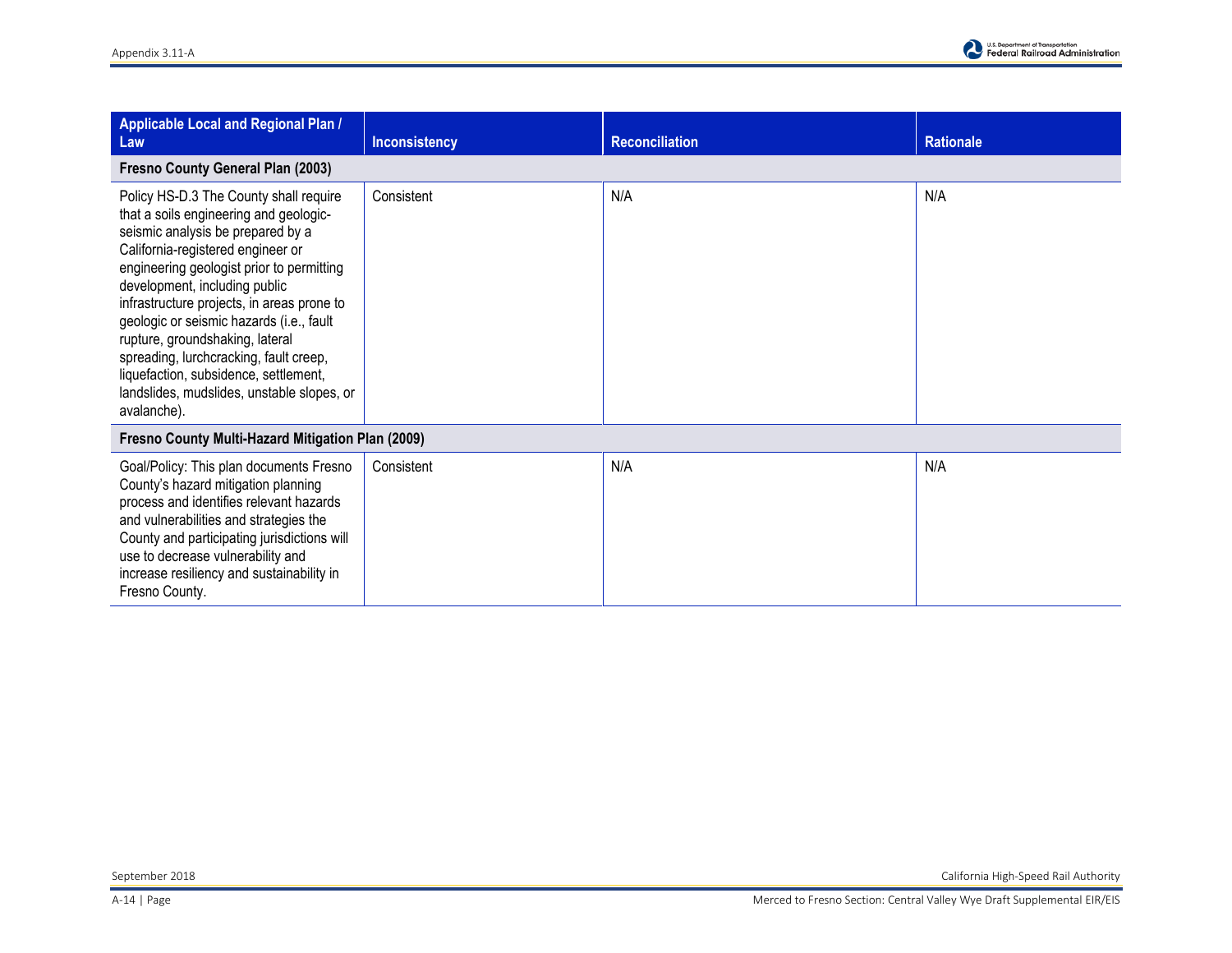

| <b>Applicable Local and Regional Plan /</b><br>Law                                                                                                                                                                                                                                                                                                                                                                                                                                                                    | Inconsistency | <b>Reconciliation</b> | <b>Rationale</b> |  |  |
|-----------------------------------------------------------------------------------------------------------------------------------------------------------------------------------------------------------------------------------------------------------------------------------------------------------------------------------------------------------------------------------------------------------------------------------------------------------------------------------------------------------------------|---------------|-----------------------|------------------|--|--|
| Fresno County General Plan (2003)                                                                                                                                                                                                                                                                                                                                                                                                                                                                                     |               |                       |                  |  |  |
| Policy HS-D.3 The County shall require<br>that a soils engineering and geologic-<br>seismic analysis be prepared by a<br>California-registered engineer or<br>engineering geologist prior to permitting<br>development, including public<br>infrastructure projects, in areas prone to<br>geologic or seismic hazards (i.e., fault<br>rupture, groundshaking, lateral<br>spreading, lurchcracking, fault creep,<br>liquefaction, subsidence, settlement,<br>landslides, mudslides, unstable slopes, or<br>avalanche). | Consistent    | N/A                   | N/A              |  |  |
| Fresno County Multi-Hazard Mitigation Plan (2009)                                                                                                                                                                                                                                                                                                                                                                                                                                                                     |               |                       |                  |  |  |
| Goal/Policy: This plan documents Fresno<br>County's hazard mitigation planning<br>process and identifies relevant hazards<br>and vulnerabilities and strategies the<br>County and participating jurisdictions will<br>use to decrease vulnerability and<br>increase resiliency and sustainability in<br>Fresno County.                                                                                                                                                                                                | Consistent    | N/A                   | N/A              |  |  |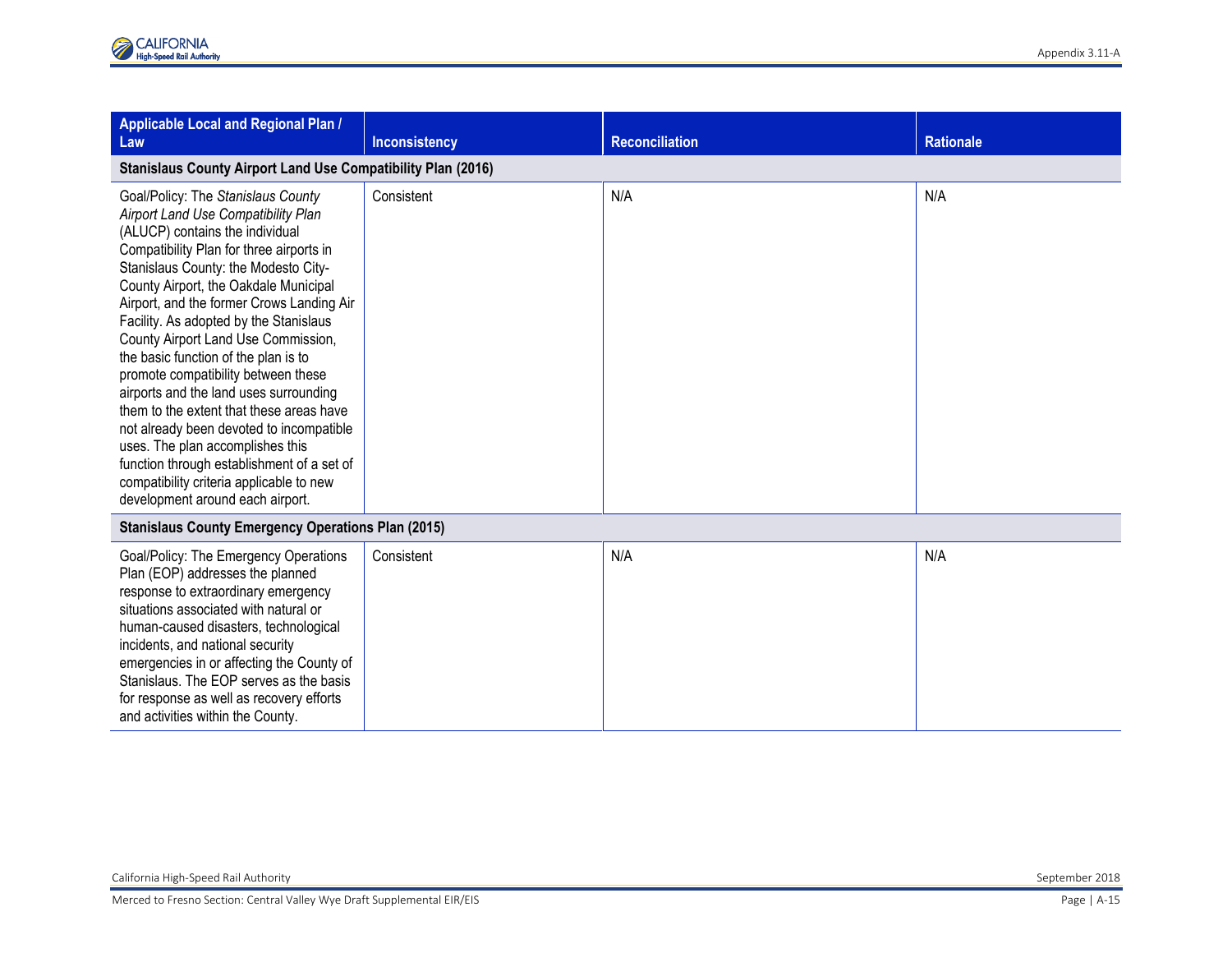| Applicable Local and Regional Plan /<br>Law                                                                                                                                                                                                                                                                                                                                                                                                                                                                                                                                                                                                                                                                                                                | <b>Inconsistency</b> | <b>Reconciliation</b> | <b>Rationale</b> |  |  |
|------------------------------------------------------------------------------------------------------------------------------------------------------------------------------------------------------------------------------------------------------------------------------------------------------------------------------------------------------------------------------------------------------------------------------------------------------------------------------------------------------------------------------------------------------------------------------------------------------------------------------------------------------------------------------------------------------------------------------------------------------------|----------------------|-----------------------|------------------|--|--|
| <b>Stanislaus County Airport Land Use Compatibility Plan (2016)</b>                                                                                                                                                                                                                                                                                                                                                                                                                                                                                                                                                                                                                                                                                        |                      |                       |                  |  |  |
| Goal/Policy: The Stanislaus County<br>Airport Land Use Compatibility Plan<br>(ALUCP) contains the individual<br>Compatibility Plan for three airports in<br>Stanislaus County: the Modesto City-<br>County Airport, the Oakdale Municipal<br>Airport, and the former Crows Landing Air<br>Facility. As adopted by the Stanislaus<br>County Airport Land Use Commission,<br>the basic function of the plan is to<br>promote compatibility between these<br>airports and the land uses surrounding<br>them to the extent that these areas have<br>not already been devoted to incompatible<br>uses. The plan accomplishes this<br>function through establishment of a set of<br>compatibility criteria applicable to new<br>development around each airport. | Consistent           | N/A                   | N/A              |  |  |
| <b>Stanislaus County Emergency Operations Plan (2015)</b>                                                                                                                                                                                                                                                                                                                                                                                                                                                                                                                                                                                                                                                                                                  |                      |                       |                  |  |  |
| Goal/Policy: The Emergency Operations<br>Plan (EOP) addresses the planned<br>response to extraordinary emergency<br>situations associated with natural or<br>human-caused disasters, technological<br>incidents, and national security<br>emergencies in or affecting the County of<br>Stanislaus. The EOP serves as the basis<br>for response as well as recovery efforts<br>and activities within the County.                                                                                                                                                                                                                                                                                                                                            | Consistent           | N/A                   | N/A              |  |  |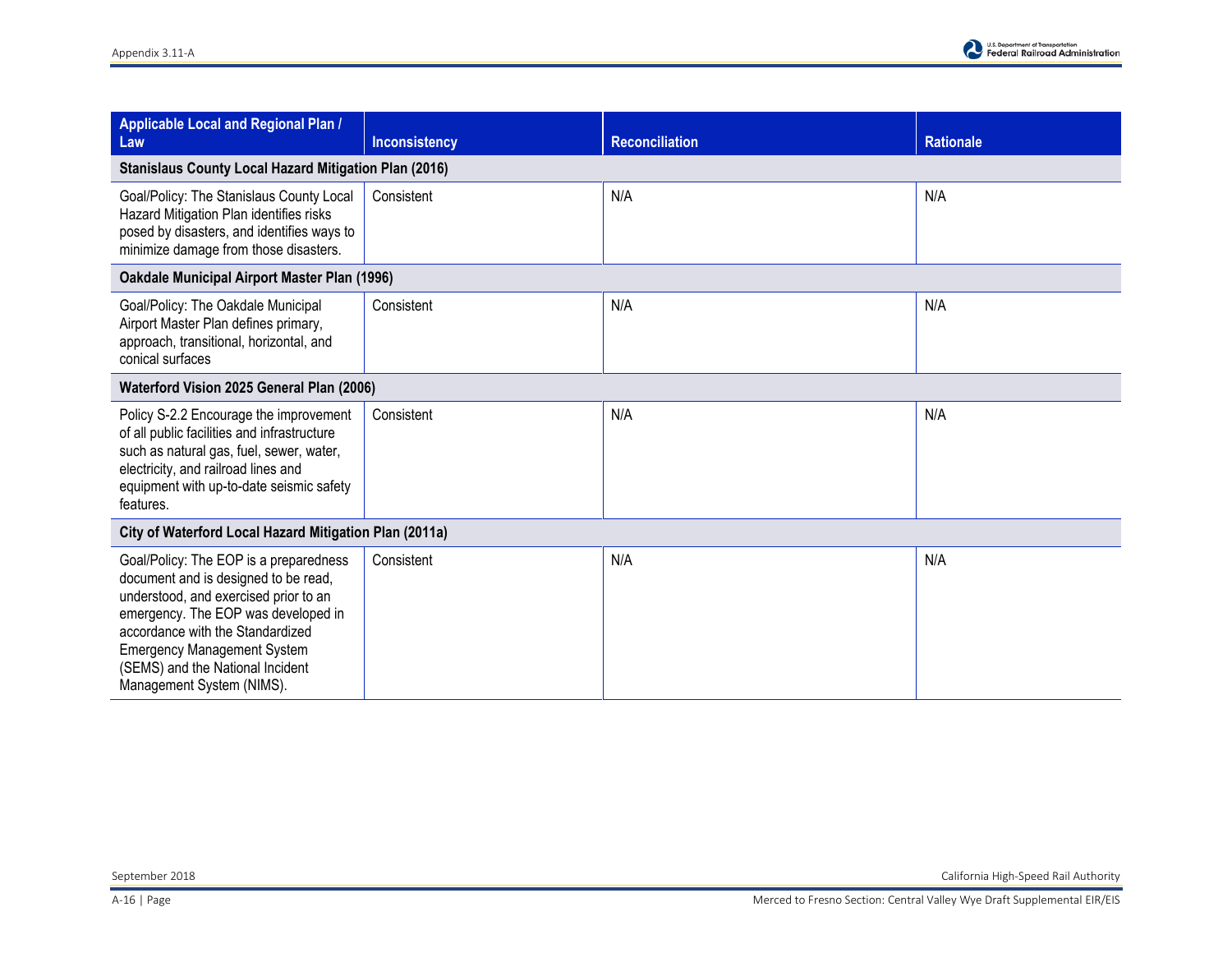

| Applicable Local and Regional Plan /<br>Law                                                                                                                                                                                                                                                               | <b>Inconsistency</b> | <b>Reconciliation</b> | <b>Rationale</b> |  |  |
|-----------------------------------------------------------------------------------------------------------------------------------------------------------------------------------------------------------------------------------------------------------------------------------------------------------|----------------------|-----------------------|------------------|--|--|
| <b>Stanislaus County Local Hazard Mitigation Plan (2016)</b>                                                                                                                                                                                                                                              |                      |                       |                  |  |  |
| Goal/Policy: The Stanislaus County Local<br>Hazard Mitigation Plan identifies risks<br>posed by disasters, and identifies ways to<br>minimize damage from those disasters.                                                                                                                                | Consistent           | N/A                   | N/A              |  |  |
| <b>Oakdale Municipal Airport Master Plan (1996)</b>                                                                                                                                                                                                                                                       |                      |                       |                  |  |  |
| Goal/Policy: The Oakdale Municipal<br>Airport Master Plan defines primary,<br>approach, transitional, horizontal, and<br>conical surfaces                                                                                                                                                                 | Consistent           | N/A                   | N/A              |  |  |
| Waterford Vision 2025 General Plan (2006)                                                                                                                                                                                                                                                                 |                      |                       |                  |  |  |
| Policy S-2.2 Encourage the improvement<br>of all public facilities and infrastructure<br>such as natural gas, fuel, sewer, water,<br>electricity, and railroad lines and<br>equipment with up-to-date seismic safety<br>features.                                                                         | Consistent           | N/A                   | N/A              |  |  |
| City of Waterford Local Hazard Mitigation Plan (2011a)                                                                                                                                                                                                                                                    |                      |                       |                  |  |  |
| Goal/Policy: The EOP is a preparedness<br>document and is designed to be read,<br>understood, and exercised prior to an<br>emergency. The EOP was developed in<br>accordance with the Standardized<br><b>Emergency Management System</b><br>(SEMS) and the National Incident<br>Management System (NIMS). | Consistent           | N/A                   | N/A              |  |  |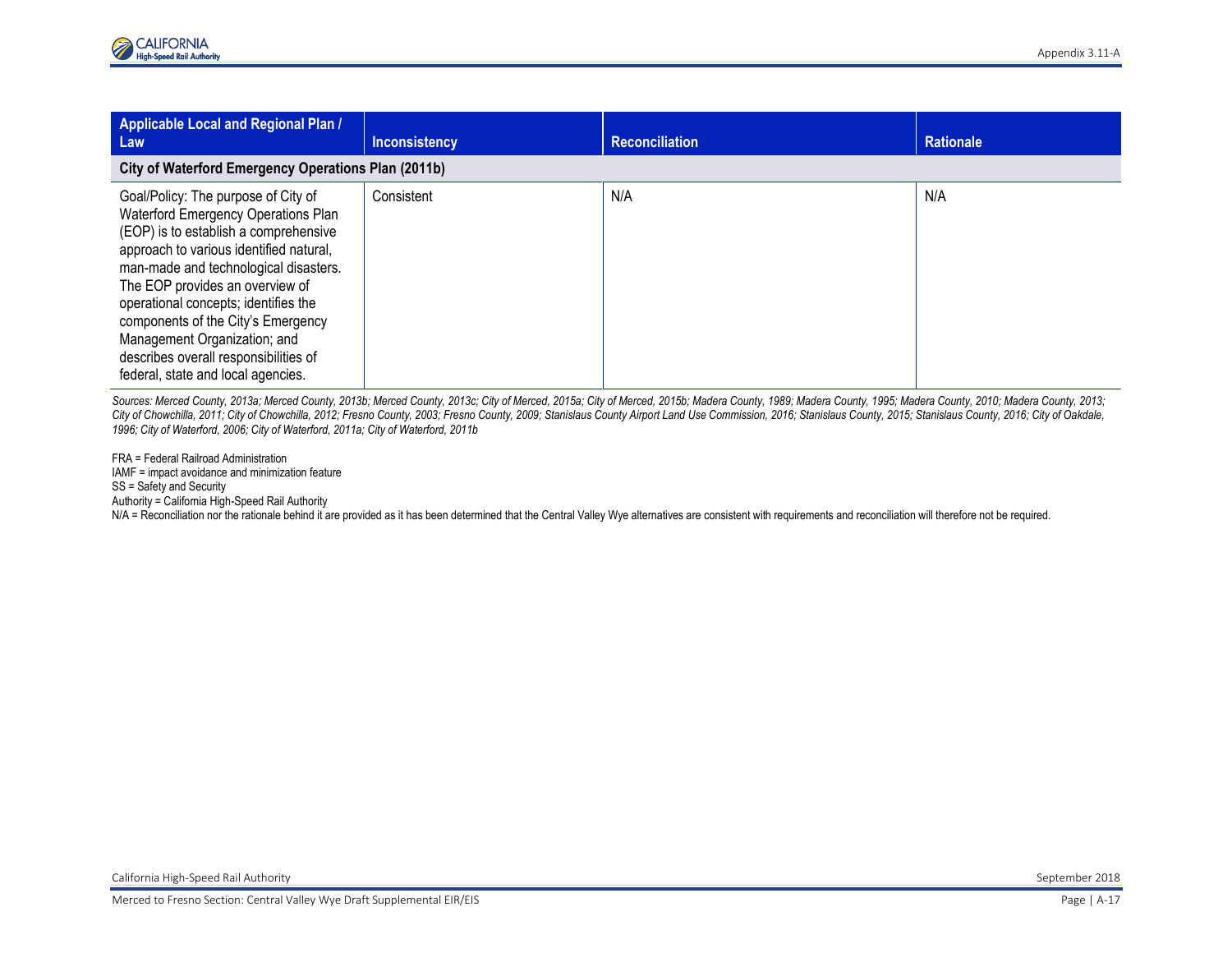| Applicable Local and Regional Plan /<br>Law                                                                                                                                                                                                                                                                                                                                                                                             | <b>Inconsistency</b> | <b>Reconciliation</b> | <b>Rationale</b> |  |  |  |
|-----------------------------------------------------------------------------------------------------------------------------------------------------------------------------------------------------------------------------------------------------------------------------------------------------------------------------------------------------------------------------------------------------------------------------------------|----------------------|-----------------------|------------------|--|--|--|
| City of Waterford Emergency Operations Plan (2011b)                                                                                                                                                                                                                                                                                                                                                                                     |                      |                       |                  |  |  |  |
| Goal/Policy: The purpose of City of<br>Waterford Emergency Operations Plan<br>(EOP) is to establish a comprehensive<br>approach to various identified natural,<br>man-made and technological disasters.<br>The EOP provides an overview of<br>operational concepts; identifies the<br>components of the City's Emergency<br>Management Organization; and<br>describes overall responsibilities of<br>federal, state and local agencies. | Consistent           | N/A                   | N/A              |  |  |  |

Sources: Merced County, 2013a; Merced County, 2013b; Merced County, 2013c; City of Merced, 2015a; City of Merced, 2015b; Madera County, 1989; Madera County, 1995; Madera County, 1905; Madera County, 2010; Madera County, 20 City of Chowchilla, 2011; City of Chowchilla, 2012; Fresno County, 2003; Fresno County, 2009; Stanislaus County Airport Land Use Commission, 2016; Stanislaus County, 2015; Stanislaus County, 2016; City of Oakdale, *1996; City of Waterford, 2006; City of Waterford, 2011a; City of Waterford, 2011b* 

FRA = Federal Railroad Administration IAMF = impact avoidance and minimization feature

## SS = Safety and Security

Authority = California High-Speed Rail Authority

N/A = Reconciliation nor the rationale behind it are provided as it has been determined that the Central Valley Wye alternatives are consistent with requirements and reconciliation will therefore not be required.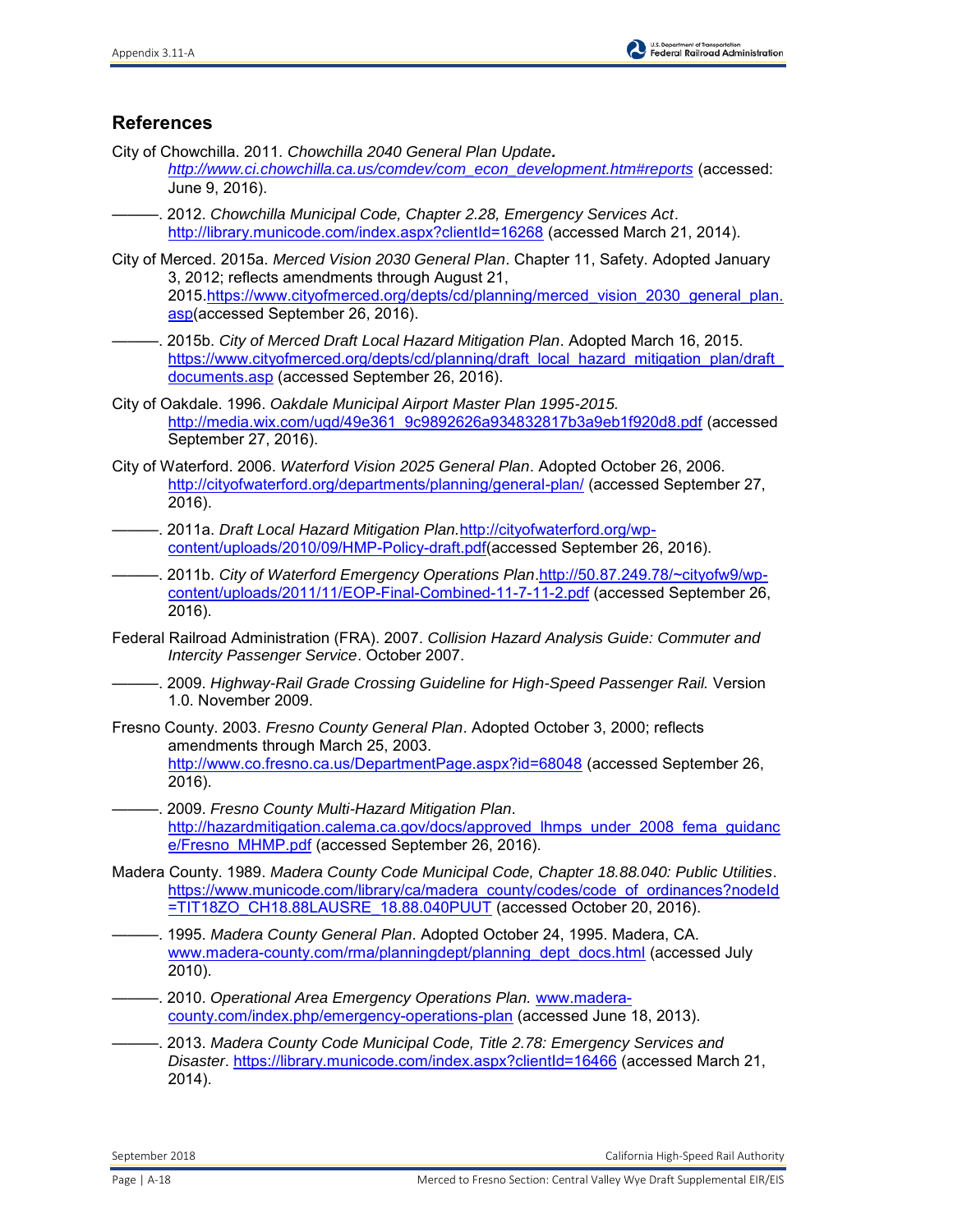## **References**

City of Chowchilla. 2011. *Chowchilla 2040 General Plan Update.* 

*[http://www.ci.chowchilla.ca.us/comdev/com\\_econ\\_development.htm#reports](http://www.ci.chowchilla.ca.us/comdev/com_econ_development.htm#reports)* (accessed: June 9, 2016).

- ———. 2012. *Chowchilla Municipal Code, Chapter 2.28, Emergency Services Act*. <http://library.municode.com/index.aspx?clientId=16268>(accessed March 21, 2014).
- City of Merced. 2015a. *Merced Vision 2030 General Plan*. Chapter 11, Safety. Adopted January 3, 2012; reflects amendments through August 21, 2015[.https://www.cityofmerced.org/depts/cd/planning/merced\\_vision\\_2030\\_general\\_plan.](https://www.cityofmerced.org/depts/cd/planning/merced_vision_2030_general_plan.asp) [asp\(](https://www.cityofmerced.org/depts/cd/planning/merced_vision_2030_general_plan.asp)accessed September 26, 2016).
- ———. 2015b. *City of Merced Draft Local Hazard Mitigation Plan*. Adopted March 16, 2015. [https://www.cityofmerced.org/depts/cd/planning/draft\\_local\\_hazard\\_mitigation\\_plan/draft\\_](https://www.cityofmerced.org/depts/cd/planning/draft_local_hazard_mitigation_plan/draft_documents.asp) [documents.asp](https://www.cityofmerced.org/depts/cd/planning/draft_local_hazard_mitigation_plan/draft_documents.asp) (accessed September 26, 2016).
- City of Oakdale. 1996. *Oakdale Municipal Airport Master Plan 1995-2015.* [http://media.wix.com/ugd/49e361\\_9c9892626a934832817b3a9eb1f920d8.pdf](http://media.wix.com/ugd/49e361_9c9892626a934832817b3a9eb1f920d8.pdf) (accessed September 27, 2016).
- City of Waterford. 2006. *Waterford Vision 2025 General Plan*. Adopted October 26, 2006. <http://cityofwaterford.org/departments/planning/general-plan/>(accessed September 27, 2016).
- ———. 2011a. *Draft Local Hazard Mitigation Plan.*[http://cityofwaterford.org/wp](http://cityofwaterford.org/wp-content/uploads/2010/09/HMP-Policy-draft.pdf)[content/uploads/2010/09/HMP-Policy-draft.pdf\(](http://cityofwaterford.org/wp-content/uploads/2010/09/HMP-Policy-draft.pdf)accessed September 26, 2016).
- ———. 2011b. *City of Waterford Emergency Operations Plan*[.http://50.87.249.78/~cityofw9/wp](http://50.87.249.78/~cityofw9/wp-content/uploads/2011/11/EOP-Final-Combined-11-7-11-2.pdf)[content/uploads/2011/11/EOP-Final-Combined-11-7-11-2.pdf](http://50.87.249.78/~cityofw9/wp-content/uploads/2011/11/EOP-Final-Combined-11-7-11-2.pdf) (accessed September 26, 2016).
- Federal Railroad Administration (FRA). 2007. *Collision Hazard Analysis Guide: Commuter and Intercity Passenger Service*. October 2007.
- ———. 2009. *Highway-Rail Grade Crossing Guideline for High-Speed Passenger Rail.* Version 1.0. November 2009.
- Fresno County. 2003. *Fresno County General Plan*. Adopted October 3, 2000; reflects amendments through March 25, 2003. <http://www.co.fresno.ca.us/DepartmentPage.aspx?id=68048>(accessed September 26, 2016).
- ———. 2009. *Fresno County Multi-Hazard Mitigation Plan*. [http://hazardmitigation.calema.ca.gov/docs/approved\\_lhmps\\_under\\_2008\\_fema\\_guidanc](http://hazardmitigation.calema.ca.gov/docs/approved_lhmps_under_2008_fema_guidance/Fresno_MHMP.pdf) [e/Fresno\\_MHMP.pdf](http://hazardmitigation.calema.ca.gov/docs/approved_lhmps_under_2008_fema_guidance/Fresno_MHMP.pdf) (accessed September 26, 2016).
- Madera County. 1989. *Madera County Code Municipal Code, Chapter 18.88.040: Public Utilities*. [https://www.municode.com/library/ca/madera\\_county/codes/code\\_of\\_ordinances?nodeId](https://www.municode.com/library/ca/madera_county/codes/code_of_ordinances?nodeId=TIT18ZO_CH18.88LAUSRE_18.88.040PUUT) [=TIT18ZO\\_CH18.88LAUSRE\\_18.88.040PUUT](https://www.municode.com/library/ca/madera_county/codes/code_of_ordinances?nodeId=TIT18ZO_CH18.88LAUSRE_18.88.040PUUT) (accessed October 20, 2016).
- ———. 1995. *Madera County General Plan*. Adopted October 24, 1995. Madera, CA. [www.madera-county.com/rma/planningdept/planning\\_dept\\_docs.html](http://www.madera-county.com/rma/planningdept/planning_dept_docs.html) (accessed July 2010).
- ———. 2010. *Operational Area Emergency Operations Plan.* [www.madera](http://www.madera-county.com/index.php/emergency-operations-plan)[county.com/index.php/emergency-operations-plan](http://www.madera-county.com/index.php/emergency-operations-plan) (accessed June 18, 2013).
- ———. 2013. *Madera County Code Municipal Code, Title 2.78: Emergency Services and Disaster*.<https://library.municode.com/index.aspx?clientId=16466>(accessed March 21, 2014).